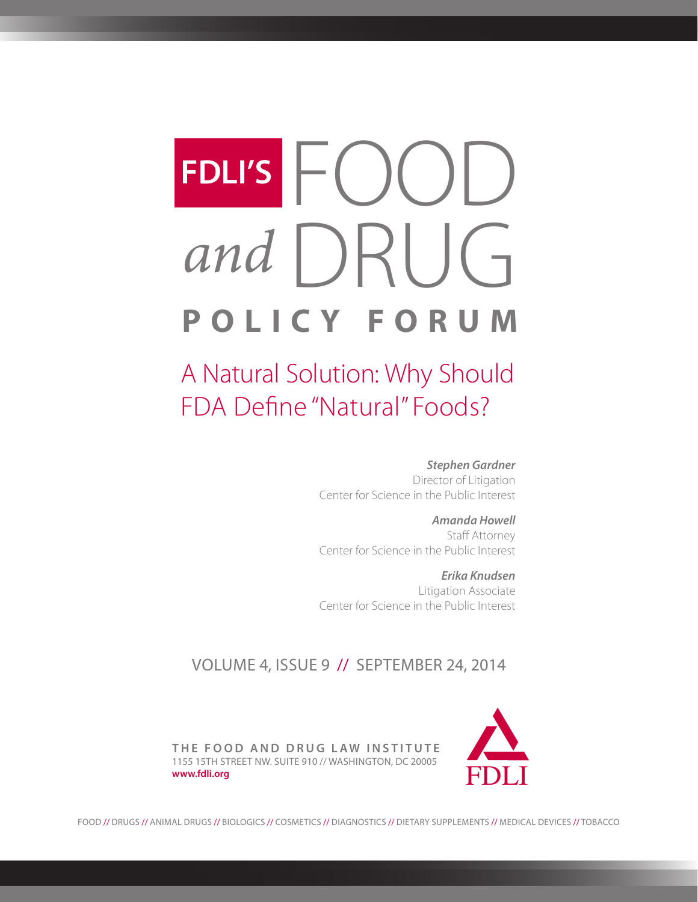# FDLI'S FOOD<br>and DRUG **POLICY FORUM** *and* **FDLI'S**

A Natural Solution: Why Should FDA Define "Natural" Foods?

*Stephen Gardner* 

Director of Litigation Center for Science in the Public Interest

*Amanda Howell* Staff Attorney Center for Science in the Public Interest

*Erika Knudsen*  Litigation Associate Center for Science in the Public Interest

## VOLUME 4, ISSUE 9 // SEPTEMBER 24, 2014



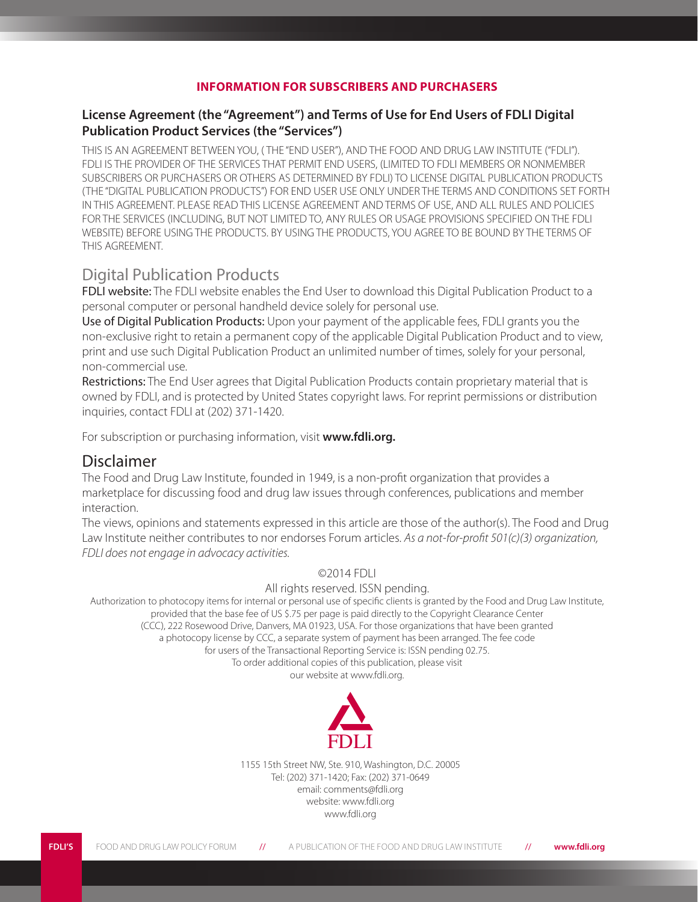#### **INFORMATION FOR SUBSCRIBERS AND PURCHASERS**

#### **License Agreement (the "Agreement") and Terms of Use for End Users of FDLI Digital Publication Product Services (the "Services")**

THIS IS AN AGREEMENT BETWEEN YOU, ( THE "END USER"), AND THE FOOD AND DRUG LAW INSTITUTE ("FDLI"). FDLI IS THE PROVIDER OF THE SERVICES THAT PERMIT END USERS, (LIMITED TO FDLI MEMBERS OR NONMEMBER SUBSCRIBERS OR PURCHASERS OR OTHERS AS DETERMINED BY FDLI) TO LICENSE DIGITAL PUBLICATION PRODUCTS (THE "DIGITAL PUBLICATION PRODUCTS") FOR END USER USE ONLY UNDER THE TERMS AND CONDITIONS SET FORTH IN THIS AGREEMENT. PLEASE READ THIS LICENSE AGREEMENT AND TERMS OF USE, AND ALL RULES AND POLICIES FOR THE SERVICES (INCLUDING, BUT NOT LIMITED TO, ANY RULES OR USAGE PROVISIONS SPECIFIED ON THE FDLI WEBSITE) BEFORE USING THE PRODUCTS. BY USING THE PRODUCTS, YOU AGREE TO BE BOUND BY THE TERMS OF THIS AGREEMENT.

## Digital Publication Products

FDLI website: The FDLI website enables the End User to download this Digital Publication Product to a personal computer or personal handheld device solely for personal use.

Use of Digital Publication Products: Upon your payment of the applicable fees, FDLI grants you the non-exclusive right to retain a permanent copy of the applicable Digital Publication Product and to view, print and use such Digital Publication Product an unlimited number of times, solely for your personal, non-commercial use.

Restrictions: The End User agrees that Digital Publication Products contain proprietary material that is owned by FDLI, and is protected by United States copyright laws. For reprint permissions or distribution inquiries, contact FDLI at (202) 371-1420.

For subscription or purchasing information, visit **www.fdli.org.**

### Disclaimer

The Food and Drug Law Institute, founded in 1949, is a non-profit organization that provides a marketplace for discussing food and drug law issues through conferences, publications and member interaction.

The views, opinions and statements expressed in this article are those of the author(s). The Food and Drug Law Institute neither contributes to nor endorses Forum articles. *As a not-for-profit 501(c)(3) organization, FDLI does not engage in advocacy activities.*

#### ©2014 FDLI

#### All rights reserved. ISSN pending.

Authorization to photocopy items for internal or personal use of specific clients is granted by the Food and Drug Law Institute, provided that the base fee of US \$.75 per page is paid directly to the Copyright Clearance Center (CCC), 222 Rosewood Drive, Danvers, MA 01923, USA. For those organizations that have been granted a photocopy license by CCC, a separate system of payment has been arranged. The fee code for users of the Transactional Reporting Service is: ISSN pending 02.75. To order additional copies of this publication, please visit

our website at www.fdli.org.



1155 15th Street NW, Ste. 910, Washington, D.C. 20005 Tel: (202) 371-1420; Fax: (202) 371-0649 email: comments@fdli.org website: www.fdli.org www.fdli.org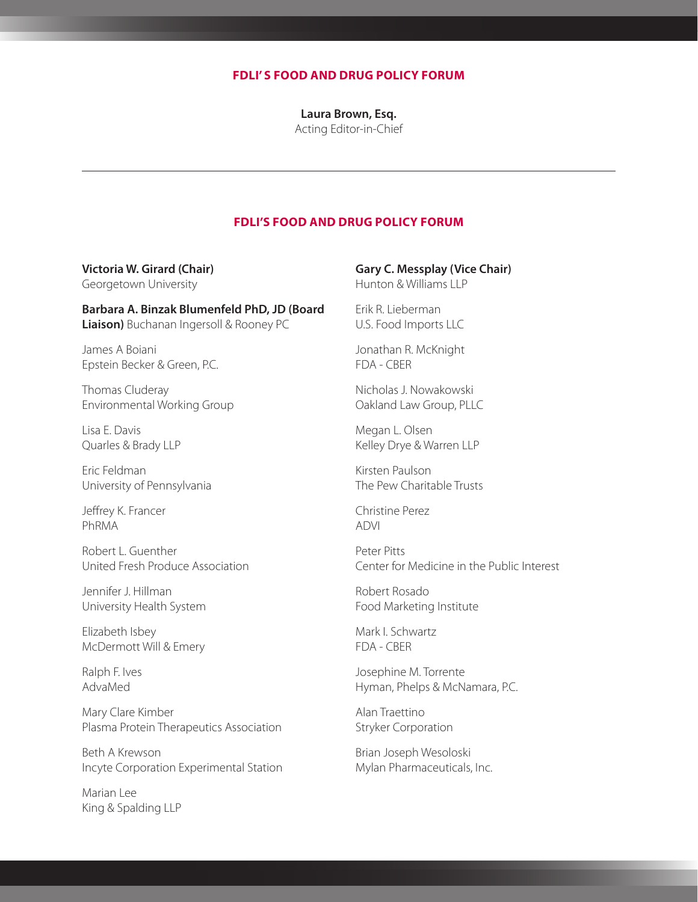#### **FDLI' S FOOD AND DRUG POLICY FORUM**

**Laura Brown, Esq.** Acting Editor-in-Chief

#### **FDLI'S FOOD AND DRUG POLICY FORUM**

**Victoria W. Girard (Chair)**  Georgetown University

**Barbara A. Binzak Blumenfeld PhD, JD (Board Liaison)** Buchanan Ingersoll & Rooney PC

James A Boiani Epstein Becker & Green, P.C.

Thomas Cluderay Environmental Working Group

Lisa E. Davis Quarles & Brady LLP

Eric Feldman University of Pennsylvania

Jeffrey K. Francer PhRMA

Robert L. Guenther United Fresh Produce Association

Jennifer J. Hillman University Health System

Elizabeth Isbey McDermott Will & Emery

Ralph F. Ives AdvaMed

Mary Clare Kimber Plasma Protein Therapeutics Association

Beth A Krewson Incyte Corporation Experimental Station

Marian Lee King & Spalding LLP

#### **Gary C. Messplay (Vice Chair)**

Hunton & Williams LLP

Erik R. Lieberman U.S. Food Imports LLC

Jonathan R. McKnight FDA - CBER

Nicholas J. Nowakowski Oakland Law Group, PLLC

Megan L. Olsen Kelley Drye & Warren LLP

Kirsten Paulson The Pew Charitable Trusts

Christine Perez ADVI

Peter Pitts Center for Medicine in the Public Interest

Robert Rosado Food Marketing Institute

Mark I. Schwartz FDA - CBER

Josephine M. Torrente Hyman, Phelps & McNamara, P.C.

Alan Traettino Stryker Corporation

Brian Joseph Wesoloski Mylan Pharmaceuticals, Inc.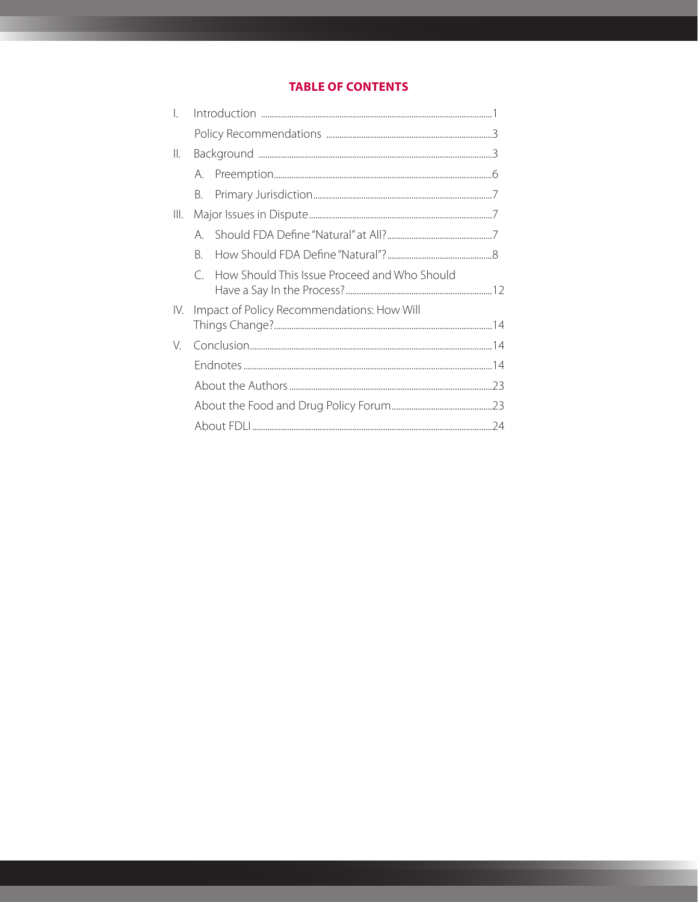### **TABLE OF CONTENTS**

| I.  |                                            |                                              |  |
|-----|--------------------------------------------|----------------------------------------------|--|
|     |                                            |                                              |  |
| Ⅲ.  |                                            |                                              |  |
|     | $A_{1}$                                    |                                              |  |
|     | B.                                         |                                              |  |
| Ⅲ.  |                                            |                                              |  |
|     | A                                          |                                              |  |
|     | B.                                         |                                              |  |
|     | $\subset$                                  | How Should This Issue Proceed and Who Should |  |
| IV. | Impact of Policy Recommendations: How Will |                                              |  |
| V.  |                                            |                                              |  |
|     |                                            |                                              |  |
|     |                                            |                                              |  |
|     |                                            |                                              |  |
|     |                                            |                                              |  |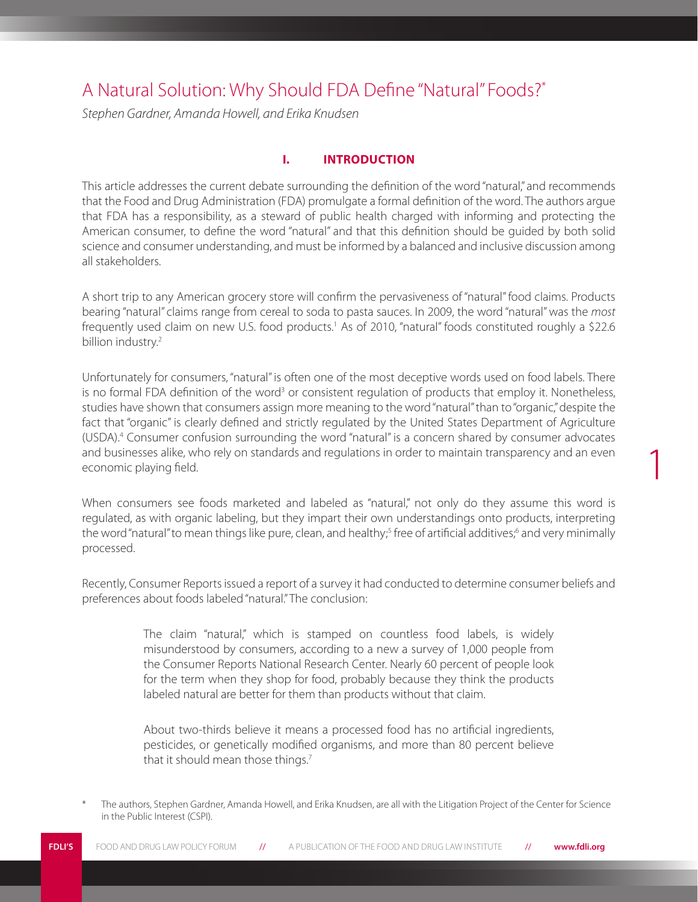# A Natural Solution: Why Should FDA Define "Natural" Foods?\*

*Stephen Gardner, Amanda Howell, and Erika Knudsen*

#### **I. INTRODUCTION**

This article addresses the current debate surrounding the definition of the word "natural," and recommends that the Food and Drug Administration (FDA) promulgate a formal definition of the word. The authors argue that FDA has a responsibility, as a steward of public health charged with informing and protecting the American consumer, to define the word "natural" and that this definition should be guided by both solid science and consumer understanding, and must be informed by a balanced and inclusive discussion among all stakeholders.

A short trip to any American grocery store will confirm the pervasiveness of "natural" food claims. Products bearing "natural" claims range from cereal to soda to pasta sauces. In 2009, the word "natural" was the *most* frequently used claim on new U.S. food products.<sup>1</sup> As of 2010, "natural" foods constituted roughly a \$22.6 billion industry.<sup>2</sup>

Unfortunately for consumers, "natural" is often one of the most deceptive words used on food labels. There is no formal FDA definition of the word<sup>3</sup> or consistent regulation of products that employ it. Nonetheless, studies have shown that consumers assign more meaning to the word "natural" than to "organic," despite the fact that "organic" is clearly defined and strictly regulated by the United States Department of Agriculture (USDA).4 Consumer confusion surrounding the word "natural" is a concern shared by consumer advocates and businesses alike, who rely on standards and regulations in order to maintain transparency and an even economic playing field.

1

When consumers see foods marketed and labeled as "natural," not only do they assume this word is regulated, as with organic labeling, but they impart their own understandings onto products, interpreting the word "natural" to mean things like pure, clean, and healthy;<sup>5</sup> free of artificial additives;<sup>6</sup> and very minimally processed.

Recently, Consumer Reports issued a report of a survey it had conducted to determine consumer beliefs and preferences about foods labeled "natural." The conclusion:

> The claim "natural," which is stamped on countless food labels, is widely misunderstood by consumers, according to a new a survey of 1,000 people from the Consumer Reports National Research Center. Nearly 60 percent of people look for the term when they shop for food, probably because they think the products labeled natural are better for them than products without that claim.

> About two-thirds believe it means a processed food has no artificial ingredients, pesticides, or genetically modified organisms, and more than 80 percent believe that it should mean those things.<sup>7</sup>

The authors, Stephen Gardner, Amanda Howell, and Erika Knudsen, are all with the Litigation Project of the Center for Science in the Public Interest (CSPI).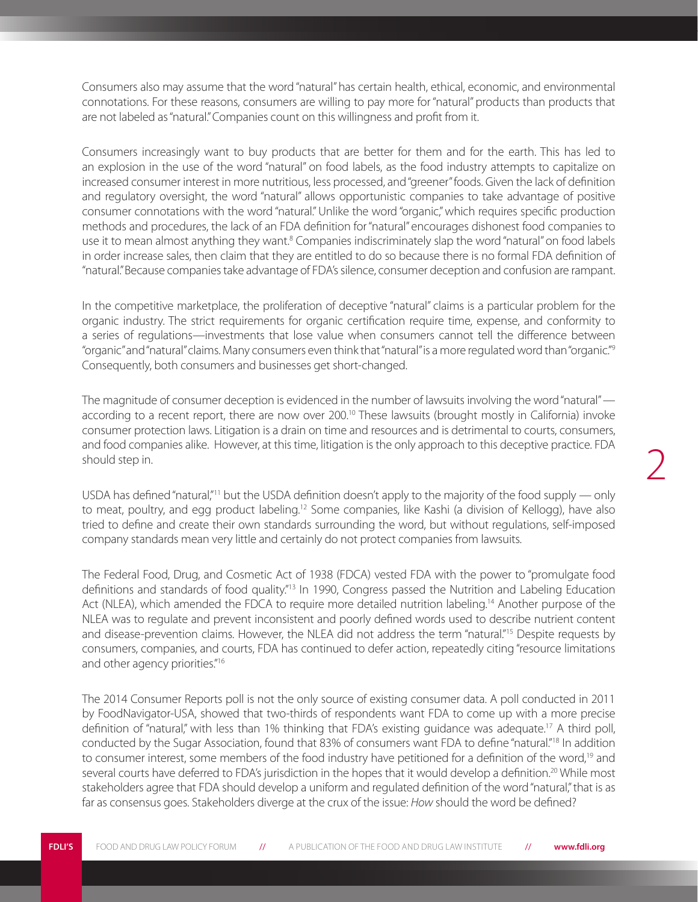Consumers also may assume that the word "natural" has certain health, ethical, economic, and environmental connotations. For these reasons, consumers are willing to pay more for "natural" products than products that are not labeled as "natural." Companies count on this willingness and profit from it.

Consumers increasingly want to buy products that are better for them and for the earth. This has led to an explosion in the use of the word "natural" on food labels, as the food industry attempts to capitalize on increased consumer interest in more nutritious, less processed, and "greener" foods. Given the lack of definition and regulatory oversight, the word "natural" allows opportunistic companies to take advantage of positive consumer connotations with the word "natural." Unlike the word "organic," which requires specific production methods and procedures, the lack of an FDA definition for "natural" encourages dishonest food companies to use it to mean almost anything they want.<sup>8</sup> Companies indiscriminately slap the word "natural" on food labels in order increase sales, then claim that they are entitled to do so because there is no formal FDA definition of "natural." Because companies take advantage of FDA's silence, consumer deception and confusion are rampant.

In the competitive marketplace, the proliferation of deceptive "natural" claims is a particular problem for the organic industry. The strict requirements for organic certification require time, expense, and conformity to a series of regulations—investments that lose value when consumers cannot tell the difference between "organic" and "natural" claims. Many consumers even think that "natural" is a more regulated word than "organic."9 Consequently, both consumers and businesses get short-changed.

The magnitude of consumer deception is evidenced in the number of lawsuits involving the word "natural" according to a recent report, there are now over 200.<sup>10</sup> These lawsuits (brought mostly in California) invoke consumer protection laws. Litigation is a drain on time and resources and is detrimental to courts, consumers, and food companies alike. However, at this time, litigation is the only approach to this deceptive practice. FDA should step in.

USDA has defined "natural,"11 but the USDA definition doesn't apply to the majority of the food supply — only to meat, poultry, and egg product labeling.<sup>12</sup> Some companies, like Kashi (a division of Kellogg), have also tried to define and create their own standards surrounding the word, but without regulations, self-imposed company standards mean very little and certainly do not protect companies from lawsuits.

The Federal Food, Drug, and Cosmetic Act of 1938 (FDCA) vested FDA with the power to "promulgate food definitions and standards of food quality."<sup>13</sup> In 1990, Congress passed the Nutrition and Labeling Education Act (NLEA), which amended the FDCA to require more detailed nutrition labeling.<sup>14</sup> Another purpose of the NLEA was to regulate and prevent inconsistent and poorly defined words used to describe nutrient content and disease-prevention claims. However, the NLEA did not address the term "natural."15 Despite requests by consumers, companies, and courts, FDA has continued to defer action, repeatedly citing "resource limitations and other agency priorities."16

The 2014 Consumer Reports poll is not the only source of existing consumer data. A poll conducted in 2011 by FoodNavigator-USA, showed that two-thirds of respondents want FDA to come up with a more precise definition of "natural," with less than 1% thinking that FDA's existing guidance was adequate.<sup>17</sup> A third poll, conducted by the Sugar Association, found that 83% of consumers want FDA to define "natural."18 In addition to consumer interest, some members of the food industry have petitioned for a definition of the word,<sup>19</sup> and several courts have deferred to FDA's jurisdiction in the hopes that it would develop a definition.<sup>20</sup> While most stakeholders agree that FDA should develop a uniform and regulated definition of the word "natural," that is as far as consensus goes. Stakeholders diverge at the crux of the issue: *How* should the word be defined?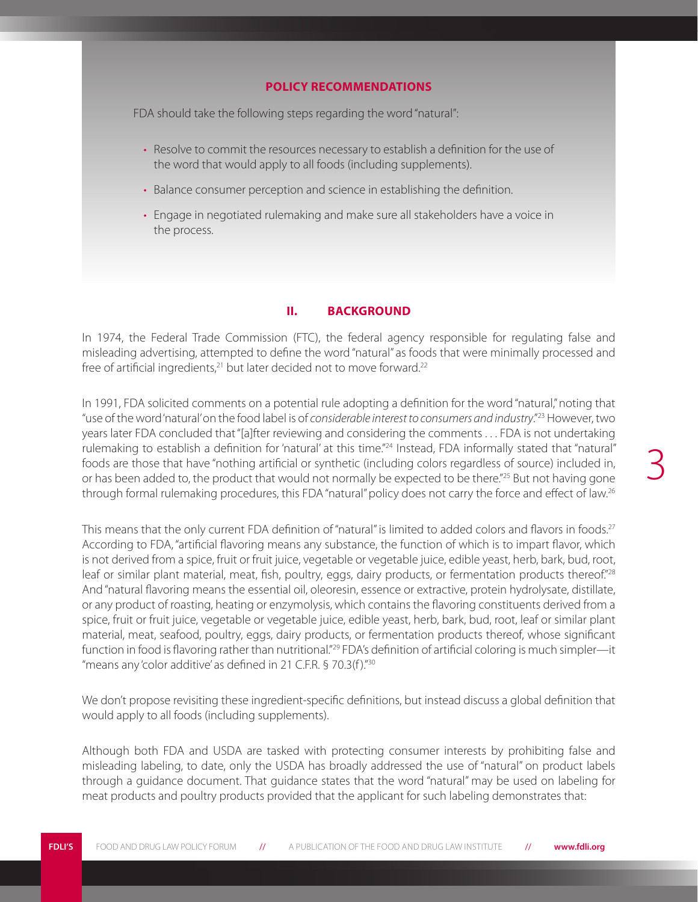#### **POLICY RECOMMENDATIONS**

FDA should take the following steps regarding the word "natural":

- Resolve to commit the resources necessary to establish a definition for the use of the word that would apply to all foods (including supplements).
- Balance consumer perception and science in establishing the definition.
- Engage in negotiated rulemaking and make sure all stakeholders have a voice in the process.

#### **II. BACKGROUND**

In 1974, the Federal Trade Commission (FTC), the federal agency responsible for regulating false and misleading advertising, attempted to define the word "natural" as foods that were minimally processed and free of artificial ingredients, $21$  but later decided not to move forward. $22$ 

In 1991, FDA solicited comments on a potential rule adopting a definition for the word "natural," noting that "use of the word 'natural' on the food label is of *considerable interest to consumers and industry*."23 However, two years later FDA concluded that "[a]fter reviewing and considering the comments . . . FDA is not undertaking rulemaking to establish a definition for 'natural' at this time."24 Instead, FDA informally stated that "natural" foods are those that have "nothing artificial or synthetic (including colors regardless of source) included in, or has been added to, the product that would not normally be expected to be there."25 But not having gone through formal rulemaking procedures, this FDA "natural" policy does not carry the force and effect of law.<sup>26</sup>

This means that the only current FDA definition of "natural" is limited to added colors and flavors in foods.<sup>27</sup> According to FDA, "artificial flavoring means any substance, the function of which is to impart flavor, which is not derived from a spice, fruit or fruit juice, vegetable or vegetable juice, edible yeast, herb, bark, bud, root, leaf or similar plant material, meat, fish, poultry, eggs, dairy products, or fermentation products thereof."<sup>28</sup> And "natural flavoring means the essential oil, oleoresin, essence or extractive, protein hydrolysate, distillate, or any product of roasting, heating or enzymolysis, which contains the flavoring constituents derived from a spice, fruit or fruit juice, vegetable or vegetable juice, edible yeast, herb, bark, bud, root, leaf or similar plant material, meat, seafood, poultry, eggs, dairy products, or fermentation products thereof, whose significant function in food is flavoring rather than nutritional."<sup>29</sup> FDA's definition of artificial coloring is much simpler—it "means any 'color additive' as defined in 21 C.F.R. § 70.3(f )."30

We don't propose revisiting these ingredient-specific definitions, but instead discuss a global definition that would apply to all foods (including supplements).

Although both FDA and USDA are tasked with protecting consumer interests by prohibiting false and misleading labeling, to date, only the USDA has broadly addressed the use of "natural" on product labels through a guidance document. That guidance states that the word "natural" may be used on labeling for meat products and poultry products provided that the applicant for such labeling demonstrates that: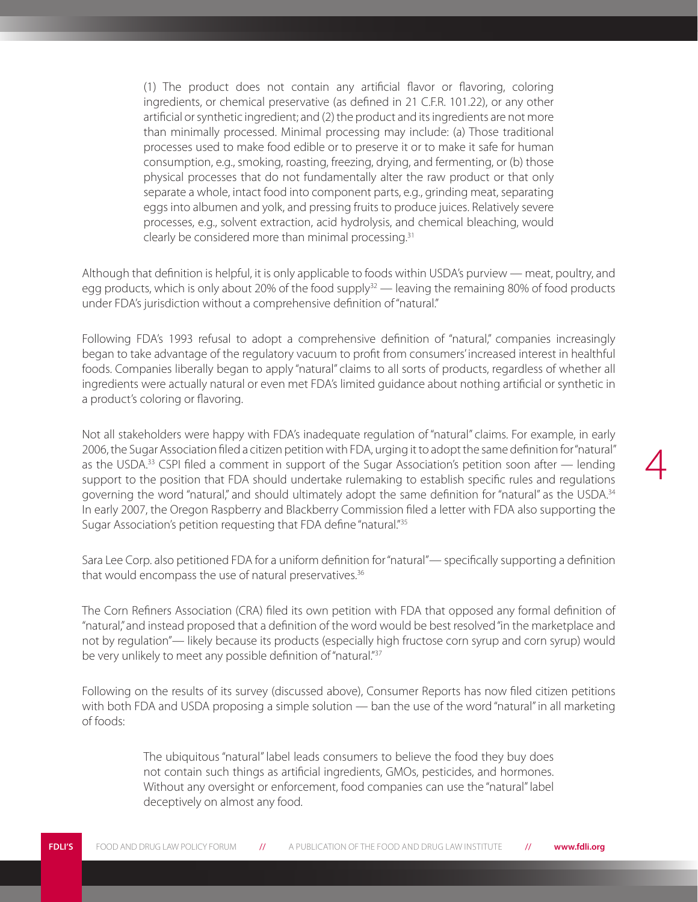(1) The product does not contain any artificial flavor or flavoring, coloring ingredients, or chemical preservative (as defined in 21 C.F.R. 101.22), or any other artificial or synthetic ingredient; and (2) the product and its ingredients are not more than minimally processed. Minimal processing may include: (a) Those traditional processes used to make food edible or to preserve it or to make it safe for human consumption, e.g., smoking, roasting, freezing, drying, and fermenting, or (b) those physical processes that do not fundamentally alter the raw product or that only separate a whole, intact food into component parts, e.g., grinding meat, separating eggs into albumen and yolk, and pressing fruits to produce juices. Relatively severe processes, e.g., solvent extraction, acid hydrolysis, and chemical bleaching, would clearly be considered more than minimal processing.<sup>31</sup>

Although that definition is helpful, it is only applicable to foods within USDA's purview — meat, poultry, and egg products, which is only about 20% of the food supply $32$  — leaving the remaining 80% of food products under FDA's jurisdiction without a comprehensive definition of "natural."

Following FDA's 1993 refusal to adopt a comprehensive definition of "natural," companies increasingly began to take advantage of the regulatory vacuum to profit from consumers' increased interest in healthful foods. Companies liberally began to apply "natural" claims to all sorts of products, regardless of whether all ingredients were actually natural or even met FDA's limited guidance about nothing artificial or synthetic in a product's coloring or flavoring.

Not all stakeholders were happy with FDA's inadequate regulation of "natural" claims. For example, in early 2006, the Sugar Association filed a citizen petition with FDA, urging it to adopt the same definition for "natural" as the USDA.33 CSPI filed a comment in support of the Sugar Association's petition soon after — lending support to the position that FDA should undertake rulemaking to establish specific rules and regulations governing the word "natural," and should ultimately adopt the same definition for "natural" as the USDA.<sup>34</sup> In early 2007, the Oregon Raspberry and Blackberry Commission filed a letter with FDA also supporting the Sugar Association's petition requesting that FDA define "natural."<sup>35</sup>

4

Sara Lee Corp. also petitioned FDA for a uniform definition for "natural"— specifically supporting a definition that would encompass the use of natural preservatives.<sup>36</sup>

The Corn Refiners Association (CRA) filed its own petition with FDA that opposed any formal definition of "natural," and instead proposed that a definition of the word would be best resolved "in the marketplace and not by regulation"— likely because its products (especially high fructose corn syrup and corn syrup) would be very unlikely to meet any possible definition of "natural."<sup>37</sup>

Following on the results of its survey (discussed above), Consumer Reports has now filed citizen petitions with both FDA and USDA proposing a simple solution — ban the use of the word "natural" in all marketing of foods:

> The ubiquitous "natural" label leads consumers to believe the food they buy does not contain such things as artificial ingredients, GMOs, pesticides, and hormones. Without any oversight or enforcement, food companies can use the "natural" label deceptively on almost any food.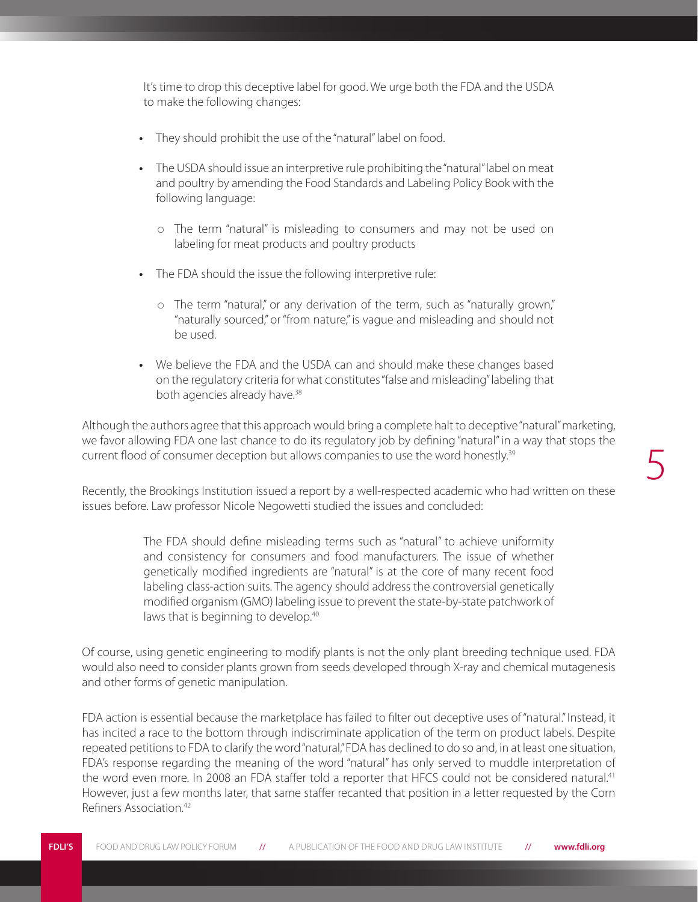It's time to drop this deceptive label for good. We urge both the FDA and the USDA to make the following changes:

- **•**  They should prohibit the use of the "natural" label on food.
- The USDA should issue an interpretive rule prohibiting the "natural" label on meat and poultry by amending the Food Standards and Labeling Policy Book with the following language:
	- The term "natural" is misleading to consumers and may not be used on labeling for meat products and poultry products
- **•**  The FDA should the issue the following interpretive rule:
	- o The term "natural," or any derivation of the term, such as "naturally grown," "naturally sourced," or "from nature," is vague and misleading and should not be used.
- We believe the FDA and the USDA can and should make these changes based on the regulatory criteria for what constitutes "false and misleading" labeling that both agencies already have.<sup>38</sup>

Although the authors agree that this approach would bring a complete halt to deceptive "natural" marketing, we favor allowing FDA one last chance to do its regulatory job by defining "natural" in a way that stops the current flood of consumer deception but allows companies to use the word honestly.39

Recently, the Brookings Institution issued a report by a well-respected academic who had written on these issues before. Law professor Nicole Negowetti studied the issues and concluded:

> The FDA should define misleading terms such as "natural" to achieve uniformity and consistency for consumers and food manufacturers. The issue of whether genetically modified ingredients are "natural" is at the core of many recent food labeling class-action suits. The agency should address the controversial genetically modified organism (GMO) labeling issue to prevent the state-by-state patchwork of laws that is beginning to develop.<sup>40</sup>

Of course, using genetic engineering to modify plants is not the only plant breeding technique used. FDA would also need to consider plants grown from seeds developed through X-ray and chemical mutagenesis and other forms of genetic manipulation.

FDA action is essential because the marketplace has failed to filter out deceptive uses of "natural." Instead, it has incited a race to the bottom through indiscriminate application of the term on product labels. Despite repeated petitions to FDA to clarify the word "natural," FDA has declined to do so and, in at least one situation, FDA's response regarding the meaning of the word "natural" has only served to muddle interpretation of the word even more. In 2008 an FDA staffer told a reporter that HFCS could not be considered natural.<sup>41</sup> However, just a few months later, that same staffer recanted that position in a letter requested by the Corn Refiners Association.42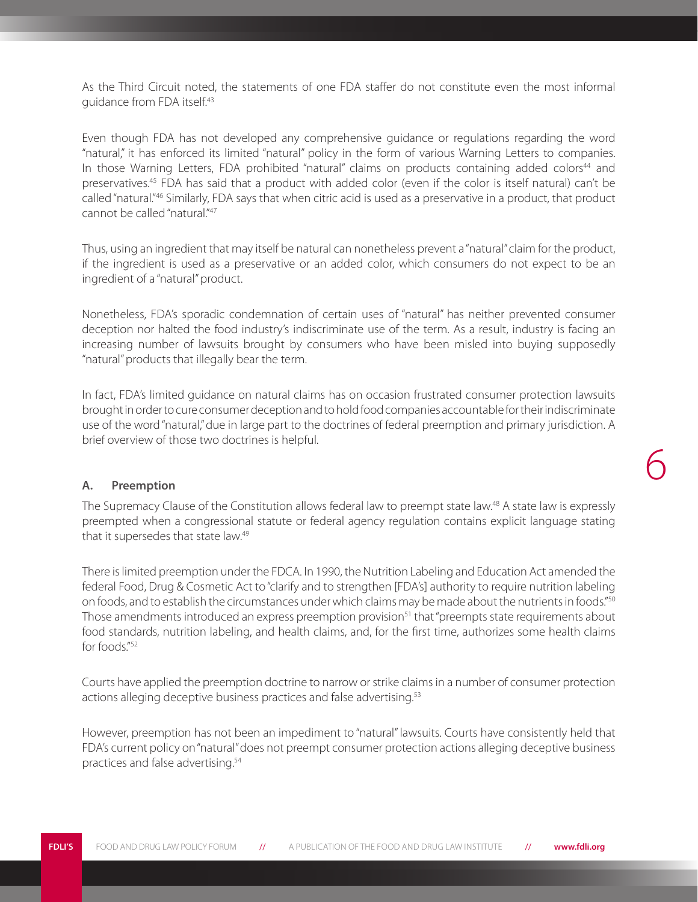As the Third Circuit noted, the statements of one FDA staffer do not constitute even the most informal guidance from FDA itself.43

Even though FDA has not developed any comprehensive guidance or regulations regarding the word "natural," it has enforced its limited "natural" policy in the form of various Warning Letters to companies. In those Warning Letters, FDA prohibited "natural" claims on products containing added colors<sup>44</sup> and preservatives.45 FDA has said that a product with added color (even if the color is itself natural) can't be called "natural."46 Similarly, FDA says that when citric acid is used as a preservative in a product, that product cannot be called "natural."<sup>47</sup>

Thus, using an ingredient that may itself be natural can nonetheless prevent a "natural" claim for the product, if the ingredient is used as a preservative or an added color, which consumers do not expect to be an ingredient of a "natural" product.

Nonetheless, FDA's sporadic condemnation of certain uses of "natural" has neither prevented consumer deception nor halted the food industry's indiscriminate use of the term. As a result, industry is facing an increasing number of lawsuits brought by consumers who have been misled into buying supposedly "natural" products that illegally bear the term.

In fact, FDA's limited guidance on natural claims has on occasion frustrated consumer protection lawsuits brought in order to cure consumer deception and to hold food companies accountable for their indiscriminate use of the word "natural," due in large part to the doctrines of federal preemption and primary jurisdiction. A brief overview of those two doctrines is helpful.

6

#### **A. Preemption**

The Supremacy Clause of the Constitution allows federal law to preempt state law.<sup>48</sup> A state law is expressly preempted when a congressional statute or federal agency regulation contains explicit language stating that it supersedes that state law.49

There is limited preemption under the FDCA. In 1990, the Nutrition Labeling and Education Act amended the federal Food, Drug & Cosmetic Act to "clarify and to strengthen [FDA's] authority to require nutrition labeling on foods, and to establish the circumstances under which claims may be made about the nutrients in foods."50 Those amendments introduced an express preemption provision<sup>51</sup> that "preempts state requirements about food standards, nutrition labeling, and health claims, and, for the first time, authorizes some health claims for foods."52

Courts have applied the preemption doctrine to narrow or strike claims in a number of consumer protection actions alleging deceptive business practices and false advertising.<sup>53</sup>

However, preemption has not been an impediment to "natural" lawsuits. Courts have consistently held that FDA's current policy on "natural" does not preempt consumer protection actions alleging deceptive business practices and false advertising.54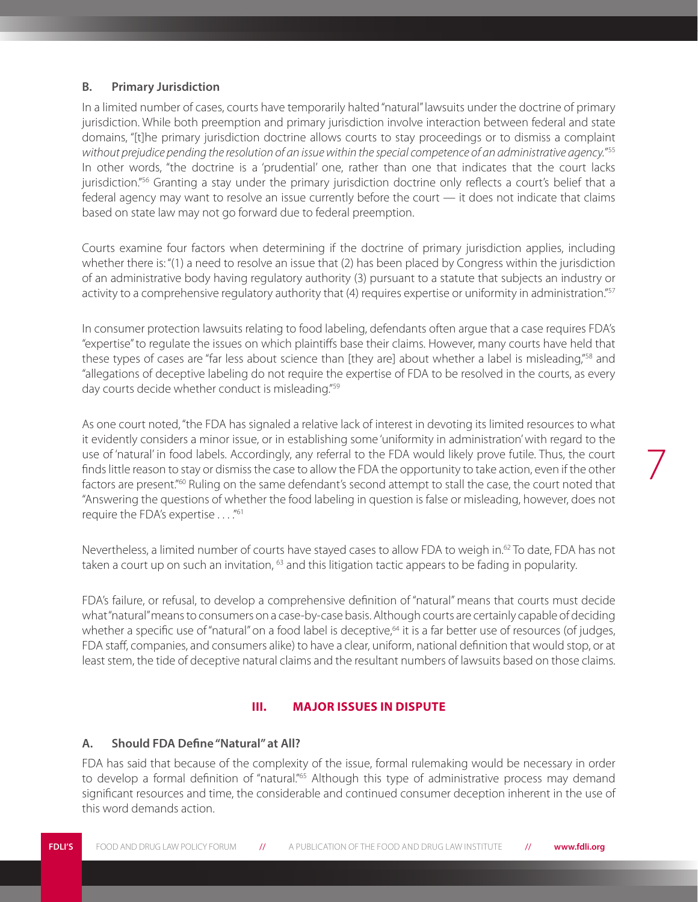#### **B. Primary Jurisdiction**

In a limited number of cases, courts have temporarily halted "natural" lawsuits under the doctrine of primary jurisdiction. While both preemption and primary jurisdiction involve interaction between federal and state domains, "[t]he primary jurisdiction doctrine allows courts to stay proceedings or to dismiss a complaint *without prejudice pending the resolution of an issue within the special competence of an administrative agency.*" 55 In other words, "the doctrine is a 'prudential' one, rather than one that indicates that the court lacks jurisdiction."<sup>56</sup> Granting a stay under the primary jurisdiction doctrine only reflects a court's belief that a federal agency may want to resolve an issue currently before the court — it does not indicate that claims based on state law may not go forward due to federal preemption.

Courts examine four factors when determining if the doctrine of primary jurisdiction applies, including whether there is: "(1) a need to resolve an issue that (2) has been placed by Congress within the jurisdiction of an administrative body having regulatory authority (3) pursuant to a statute that subjects an industry or activity to a comprehensive regulatory authority that (4) requires expertise or uniformity in administration."<sup>57</sup>

In consumer protection lawsuits relating to food labeling, defendants often argue that a case requires FDA's "expertise" to regulate the issues on which plaintiffs base their claims. However, many courts have held that these types of cases are "far less about science than [they are] about whether a label is misleading,"<sup>58</sup> and "allegations of deceptive labeling do not require the expertise of FDA to be resolved in the courts, as every day courts decide whether conduct is misleading."<sup>59</sup>

As one court noted, "the FDA has signaled a relative lack of interest in devoting its limited resources to what it evidently considers a minor issue, or in establishing some 'uniformity in administration' with regard to the use of 'natural' in food labels. Accordingly, any referral to the FDA would likely prove futile. Thus, the court finds little reason to stay or dismiss the case to allow the FDA the opportunity to take action, even if the other factors are present."60 Ruling on the same defendant's second attempt to stall the case, the court noted that "Answering the questions of whether the food labeling in question is false or misleading, however, does not require the FDA's expertise . . . ."61

7

Nevertheless, a limited number of courts have stayed cases to allow FDA to weigh in.<sup>62</sup> To date, FDA has not taken a court up on such an invitation,  $63$  and this litigation tactic appears to be fading in popularity.

FDA's failure, or refusal, to develop a comprehensive definition of "natural" means that courts must decide what "natural" means to consumers on a case-by-case basis. Although courts are certainly capable of deciding whether a specific use of "natural" on a food label is deceptive,<sup>64</sup> it is a far better use of resources (of judges, FDA staff, companies, and consumers alike) to have a clear, uniform, national definition that would stop, or at least stem, the tide of deceptive natural claims and the resultant numbers of lawsuits based on those claims.

#### **III. MAJOR ISSUES IN DISPUTE**

#### **A. Should FDA Define "Natural" at All?**

FDA has said that because of the complexity of the issue, formal rulemaking would be necessary in order to develop a formal definition of "natural."<sup>65</sup> Although this type of administrative process may demand significant resources and time, the considerable and continued consumer deception inherent in the use of this word demands action.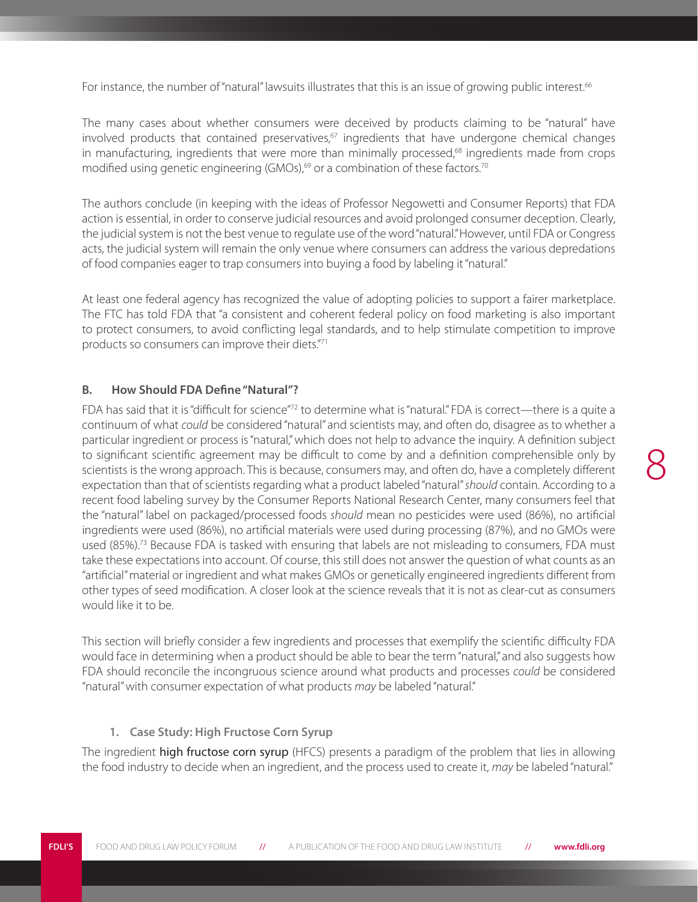For instance, the number of "natural" lawsuits illustrates that this is an issue of growing public interest.<sup>66</sup>

The many cases about whether consumers were deceived by products claiming to be "natural" have involved products that contained preservatives, $67$  ingredients that have undergone chemical changes in manufacturing, ingredients that were more than minimally processed,<sup>68</sup> ingredients made from crops modified using genetic engineering (GMOs),<sup>69</sup> or a combination of these factors.<sup>70</sup>

The authors conclude (in keeping with the ideas of Professor Negowetti and Consumer Reports) that FDA action is essential, in order to conserve judicial resources and avoid prolonged consumer deception. Clearly, the judicial system is not the best venue to regulate use of the word "natural." However, until FDA or Congress acts, the judicial system will remain the only venue where consumers can address the various depredations of food companies eager to trap consumers into buying a food by labeling it "natural."

At least one federal agency has recognized the value of adopting policies to support a fairer marketplace. The FTC has told FDA that "a consistent and coherent federal policy on food marketing is also important to protect consumers, to avoid conflicting legal standards, and to help stimulate competition to improve products so consumers can improve their diets."71

#### **B. How Should FDA Define "Natural"?**

FDA has said that it is "difficult for science"<sup>72</sup> to determine what is "natural." FDA is correct—there is a quite a continuum of what *could* be considered "natural" and scientists may, and often do, disagree as to whether a particular ingredient or process is "natural," which does not help to advance the inquiry. A definition subject to significant scientific agreement may be difficult to come by and a definition comprehensible only by scientists is the wrong approach. This is because, consumers may, and often do, have a completely different expectation than that of scientists regarding what a product labeled "natural" *should* contain. According to a recent food labeling survey by the Consumer Reports National Research Center, many consumers feel that the "natural" label on packaged/processed foods *should* mean no pesticides were used (86%), no artificial ingredients were used (86%), no artificial materials were used during processing (87%), and no GMOs were used  $(85%)$ .<sup>73</sup> Because FDA is tasked with ensuring that labels are not misleading to consumers, FDA must take these expectations into account. Of course, this still does not answer the question of what counts as an "artificial" material or ingredient and what makes GMOs or genetically engineered ingredients different from other types of seed modification. A closer look at the science reveals that it is not as clear-cut as consumers would like it to be.

This section will briefly consider a few ingredients and processes that exemplify the scientific difficulty FDA would face in determining when a product should be able to bear the term "natural," and also suggests how FDA should reconcile the incongruous science around what products and processes *could* be considered "natural" with consumer expectation of what products *may* be labeled "natural."

#### **1. Case Study: High Fructose Corn Syrup**

The ingredient high fructose corn syrup (HFCS) presents a paradigm of the problem that lies in allowing the food industry to decide when an ingredient, and the process used to create it, *may* be labeled "natural."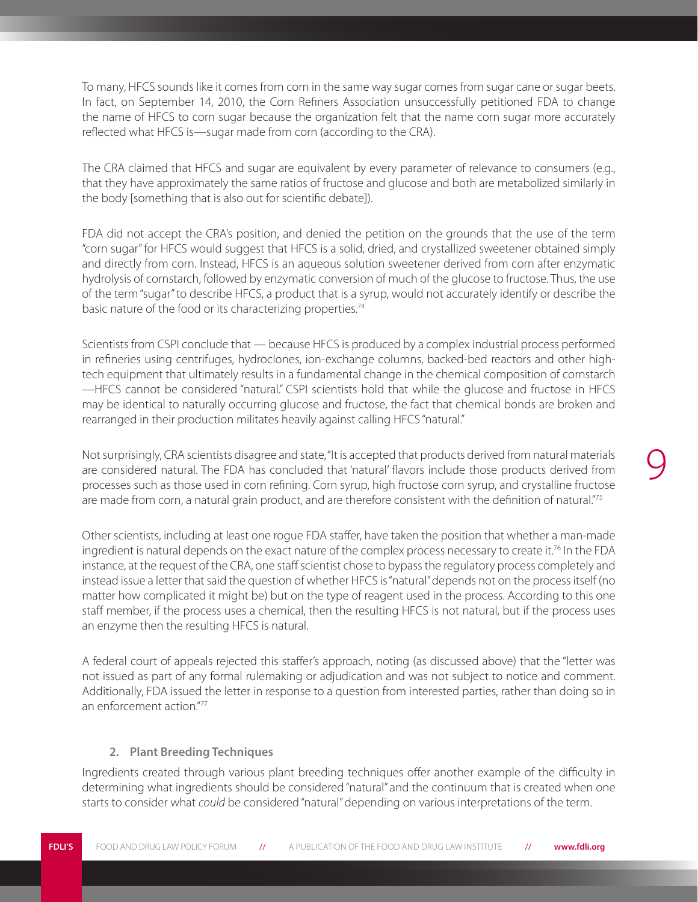To many, HFCS sounds like it comes from corn in the same way sugar comes from sugar cane or sugar beets. In fact, on September 14, 2010, the Corn Refiners Association unsuccessfully petitioned FDA to change the name of HFCS to corn sugar because the organization felt that the name corn sugar more accurately reflected what HFCS is—sugar made from corn (according to the CRA).

The CRA claimed that HFCS and sugar are equivalent by every parameter of relevance to consumers (e.g., that they have approximately the same ratios of fructose and glucose and both are metabolized similarly in the body [something that is also out for scientific debate]).

FDA did not accept the CRA's position, and denied the petition on the grounds that the use of the term "corn sugar" for HFCS would suggest that HFCS is a solid, dried, and crystallized sweetener obtained simply and directly from corn. Instead, HFCS is an aqueous solution sweetener derived from corn after enzymatic hydrolysis of cornstarch, followed by enzymatic conversion of much of the glucose to fructose. Thus, the use of the term "sugar" to describe HFCS, a product that is a syrup, would not accurately identify or describe the basic nature of the food or its characterizing properties.<sup>74</sup>

Scientists from CSPI conclude that — because HFCS is produced by a complex industrial process performed in refineries using centrifuges, hydroclones, ion-exchange columns, backed-bed reactors and other hightech equipment that ultimately results in a fundamental change in the chemical composition of cornstarch —HFCS cannot be considered "natural." CSPI scientists hold that while the glucose and fructose in HFCS may be identical to naturally occurring glucose and fructose, the fact that chemical bonds are broken and rearranged in their production militates heavily against calling HFCS "natural."

Not surprisingly, CRA scientists disagree and state, "It is accepted that products derived from natural materials are considered natural. The FDA has concluded that 'natural' flavors include those products derived from processes such as those used in corn refining. Corn syrup, high fructose corn syrup, and crystalline fructose are made from corn, a natural grain product, and are therefore consistent with the definition of natural."<sup>75</sup>

9

Other scientists, including at least one rogue FDA staffer, have taken the position that whether a man-made ingredient is natural depends on the exact nature of the complex process necessary to create it.<sup>76</sup> In the FDA instance, at the request of the CRA, one staff scientist chose to bypass the regulatory process completely and instead issue a letter that said the question of whether HFCS is "natural" depends not on the process itself (no matter how complicated it might be) but on the type of reagent used in the process. According to this one staff member, if the process uses a chemical, then the resulting HFCS is not natural, but if the process uses an enzyme then the resulting HFCS is natural.

A federal court of appeals rejected this staffer's approach, noting (as discussed above) that the "letter was not issued as part of any formal rulemaking or adjudication and was not subject to notice and comment. Additionally, FDA issued the letter in response to a question from interested parties, rather than doing so in an enforcement action."77

#### **2. Plant Breeding Techniques**

Ingredients created through various plant breeding techniques offer another example of the difficulty in determining what ingredients should be considered "natural" and the continuum that is created when one starts to consider what *could* be considered "natural" depending on various interpretations of the term.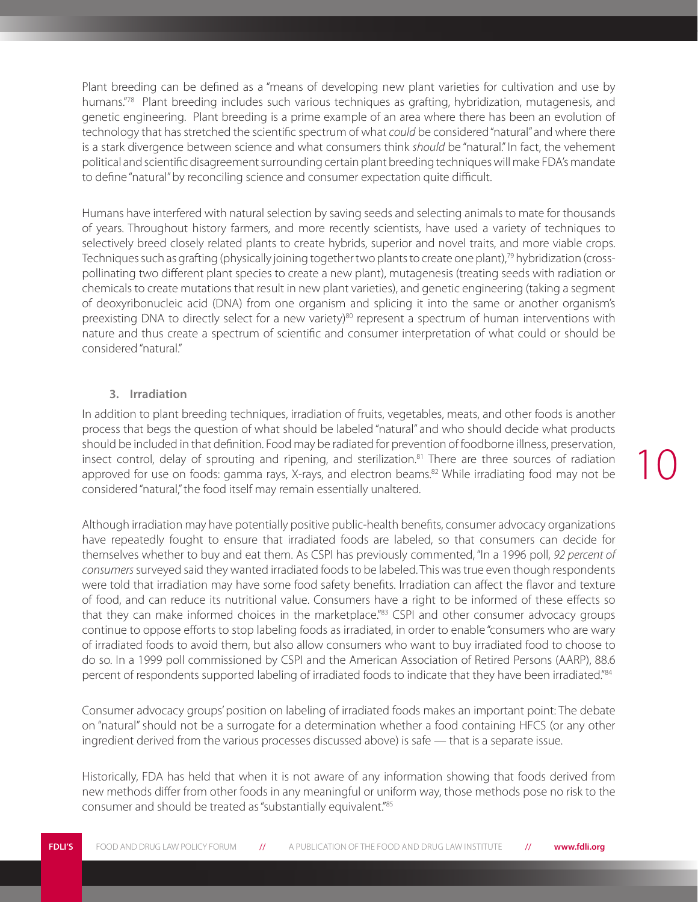Plant breeding can be defined as a "means of developing new plant varieties for cultivation and use by humans."78 Plant breeding includes such various techniques as grafting, hybridization, mutagenesis, and genetic engineering. Plant breeding is a prime example of an area where there has been an evolution of technology that has stretched the scientific spectrum of what *could* be considered "natural" and where there is a stark divergence between science and what consumers think *should* be "natural." In fact, the vehement political and scientific disagreement surrounding certain plant breeding techniques will make FDA's mandate to define "natural" by reconciling science and consumer expectation quite difficult.

Humans have interfered with natural selection by saving seeds and selecting animals to mate for thousands of years. Throughout history farmers, and more recently scientists, have used a variety of techniques to selectively breed closely related plants to create hybrids, superior and novel traits, and more viable crops. Techniques such as grafting (physically joining together two plants to create one plant),<sup>79</sup> hybridization (crosspollinating two different plant species to create a new plant), mutagenesis (treating seeds with radiation or chemicals to create mutations that result in new plant varieties), and genetic engineering (taking a segment of deoxyribonucleic acid (DNA) from one organism and splicing it into the same or another organism's preexisting DNA to directly select for a new variety) $80$  represent a spectrum of human interventions with nature and thus create a spectrum of scientific and consumer interpretation of what could or should be considered "natural."

#### **3. Irradiation**

In addition to plant breeding techniques, irradiation of fruits, vegetables, meats, and other foods is another process that begs the question of what should be labeled "natural" and who should decide what products should be included in that definition. Food may be radiated for prevention of foodborne illness, preservation, insect control, delay of sprouting and ripening, and sterilization.<sup>81</sup> There are three sources of radiation approved for use on foods: gamma rays, X-rays, and electron beams.<sup>82</sup> While irradiating food may not be considered "natural," the food itself may remain essentially unaltered.

Although irradiation may have potentially positive public-health benefits, consumer advocacy organizations have repeatedly fought to ensure that irradiated foods are labeled, so that consumers can decide for themselves whether to buy and eat them. As CSPI has previously commented, "In a 1996 poll, *92 percent of consumers* surveyed said they wanted irradiated foods to be labeled. This was true even though respondents were told that irradiation may have some food safety benefits. Irradiation can affect the flavor and texture of food, and can reduce its nutritional value. Consumers have a right to be informed of these effects so that they can make informed choices in the marketplace."<sup>83</sup> CSPI and other consumer advocacy groups continue to oppose efforts to stop labeling foods as irradiated, in order to enable "consumers who are wary of irradiated foods to avoid them, but also allow consumers who want to buy irradiated food to choose to do so. In a 1999 poll commissioned by CSPI and the American Association of Retired Persons (AARP), 88.6 percent of respondents supported labeling of irradiated foods to indicate that they have been irradiated."84

Consumer advocacy groups' position on labeling of irradiated foods makes an important point: The debate on "natural" should not be a surrogate for a determination whether a food containing HFCS (or any other ingredient derived from the various processes discussed above) is safe — that is a separate issue.

Historically, FDA has held that when it is not aware of any information showing that foods derived from new methods differ from other foods in any meaningful or uniform way, those methods pose no risk to the consumer and should be treated as "substantially equivalent."85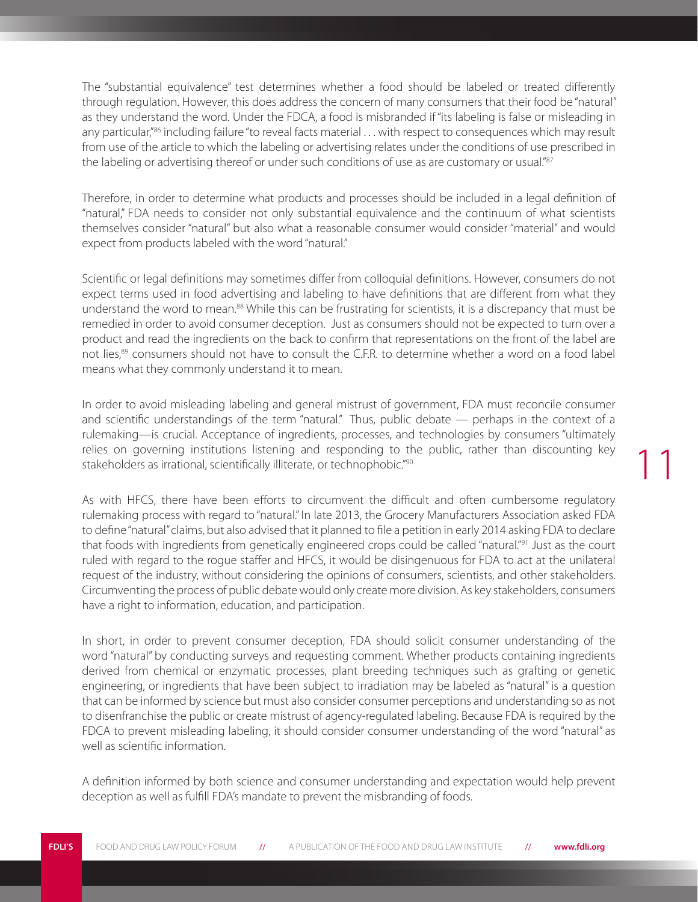The "substantial equivalence" test determines whether a food should be labeled or treated differently through regulation. However, this does address the concern of many consumers that their food be "natural" as they understand the word. Under the FDCA, a food is misbranded if "its labeling is false or misleading in any particular,"86 including failure "to reveal facts material . . . with respect to consequences which may result from use of the article to which the labeling or advertising relates under the conditions of use prescribed in the labeling or advertising thereof or under such conditions of use as are customary or usual."87

Therefore, in order to determine what products and processes should be included in a legal definition of "natural," FDA needs to consider not only substantial equivalence and the continuum of what scientists themselves consider "natural" but also what a reasonable consumer would consider "material" and would expect from products labeled with the word "natural."

Scientific or legal definitions may sometimes differ from colloquial definitions. However, consumers do not expect terms used in food advertising and labeling to have definitions that are different from what they understand the word to mean.<sup>88</sup> While this can be frustrating for scientists, it is a discrepancy that must be remedied in order to avoid consumer deception. Just as consumers should not be expected to turn over a product and read the ingredients on the back to confirm that representations on the front of the label are not lies,<sup>89</sup> consumers should not have to consult the C.F.R. to determine whether a word on a food label means what they commonly understand it to mean.

In order to avoid misleading labeling and general mistrust of government, FDA must reconcile consumer and scientific understandings of the term "natural." Thus, public debate — perhaps in the context of a rulemaking—is crucial. Acceptance of ingredients, processes, and technologies by consumers "ultimately relies on governing institutions listening and responding to the public, rather than discounting key stakeholders as irrational, scientifically illiterate, or technophobic."<sup>90</sup>

11

As with HFCS, there have been efforts to circumvent the difficult and often cumbersome regulatory rulemaking process with regard to "natural." In late 2013, the Grocery Manufacturers Association asked FDA to define "natural" claims, but also advised that it planned to file a petition in early 2014 asking FDA to declare that foods with ingredients from genetically engineered crops could be called "natural."<sup>91</sup> Just as the court ruled with regard to the rogue staffer and HFCS, it would be disingenuous for FDA to act at the unilateral request of the industry, without considering the opinions of consumers, scientists, and other stakeholders. Circumventing the process of public debate would only create more division. As key stakeholders, consumers have a right to information, education, and participation.

In short, in order to prevent consumer deception, FDA should solicit consumer understanding of the word "natural" by conducting surveys and requesting comment. Whether products containing ingredients derived from chemical or enzymatic processes, plant breeding techniques such as grafting or genetic engineering, or ingredients that have been subject to irradiation may be labeled as "natural" is a question that can be informed by science but must also consider consumer perceptions and understanding so as not to disenfranchise the public or create mistrust of agency-regulated labeling. Because FDA is required by the FDCA to prevent misleading labeling, it should consider consumer understanding of the word "natural" as well as scientific information.

A definition informed by both science and consumer understanding and expectation would help prevent deception as well as fulfill FDA's mandate to prevent the misbranding of foods.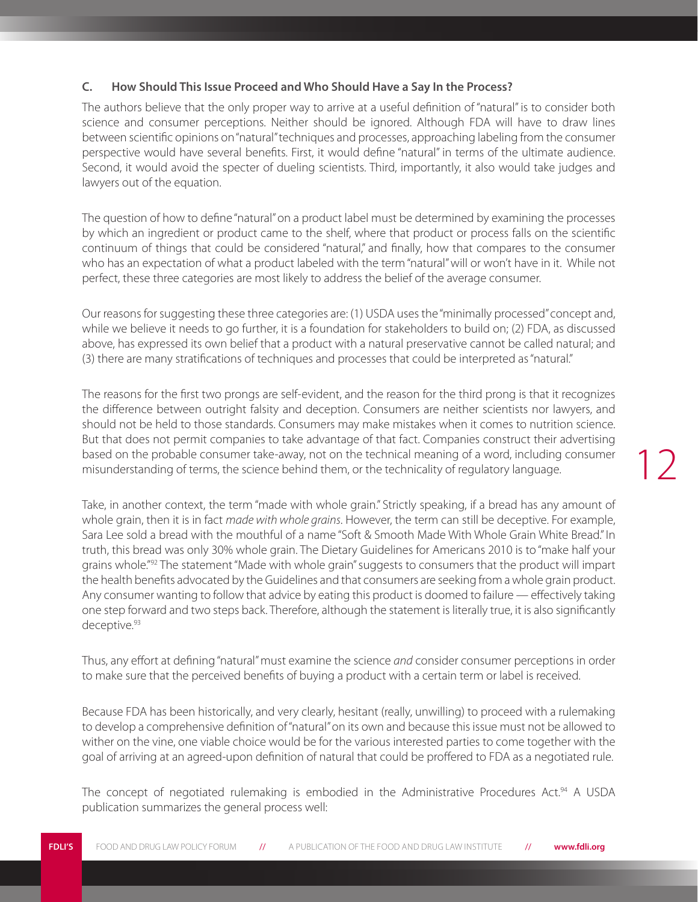#### **C. How Should This Issue Proceed and Who Should Have a Say In the Process?**

The authors believe that the only proper way to arrive at a useful definition of "natural" is to consider both science and consumer perceptions. Neither should be ignored. Although FDA will have to draw lines between scientific opinions on "natural" techniques and processes, approaching labeling from the consumer perspective would have several benefits. First, it would define "natural" in terms of the ultimate audience. Second, it would avoid the specter of dueling scientists. Third, importantly, it also would take judges and lawyers out of the equation.

The question of how to define "natural" on a product label must be determined by examining the processes by which an ingredient or product came to the shelf, where that product or process falls on the scientific continuum of things that could be considered "natural," and finally, how that compares to the consumer who has an expectation of what a product labeled with the term "natural" will or won't have in it. While not perfect, these three categories are most likely to address the belief of the average consumer.

Our reasons for suggesting these three categories are: (1) USDA uses the "minimally processed" concept and, while we believe it needs to go further, it is a foundation for stakeholders to build on; (2) FDA, as discussed above, has expressed its own belief that a product with a natural preservative cannot be called natural; and (3) there are many stratifications of techniques and processes that could be interpreted as "natural."

The reasons for the first two prongs are self-evident, and the reason for the third prong is that it recognizes the difference between outright falsity and deception. Consumers are neither scientists nor lawyers, and should not be held to those standards. Consumers may make mistakes when it comes to nutrition science. But that does not permit companies to take advantage of that fact. Companies construct their advertising based on the probable consumer take-away, not on the technical meaning of a word, including consumer misunderstanding of terms, the science behind them, or the technicality of regulatory language.

Take, in another context, the term "made with whole grain." Strictly speaking, if a bread has any amount of whole grain, then it is in fact *made with whole grains*. However, the term can still be deceptive. For example, Sara Lee sold a bread with the mouthful of a name "Soft & Smooth Made With Whole Grain White Bread." In truth, this bread was only 30% whole grain. The Dietary Guidelines for Americans 2010 is to "make half your grains whole."<sup>92</sup> The statement "Made with whole grain" suggests to consumers that the product will impart the health benefits advocated by the Guidelines and that consumers are seeking from a whole grain product. Any consumer wanting to follow that advice by eating this product is doomed to failure — effectively taking one step forward and two steps back. Therefore, although the statement is literally true, it is also significantly deceptive.93

Thus, any effort at defining "natural" must examine the science *and* consider consumer perceptions in order to make sure that the perceived benefits of buying a product with a certain term or label is received.

Because FDA has been historically, and very clearly, hesitant (really, unwilling) to proceed with a rulemaking to develop a comprehensive definition of "natural" on its own and because this issue must not be allowed to wither on the vine, one viable choice would be for the various interested parties to come together with the goal of arriving at an agreed-upon definition of natural that could be proffered to FDA as a negotiated rule.

The concept of negotiated rulemaking is embodied in the Administrative Procedures Act.<sup>94</sup> A USDA publication summarizes the general process well: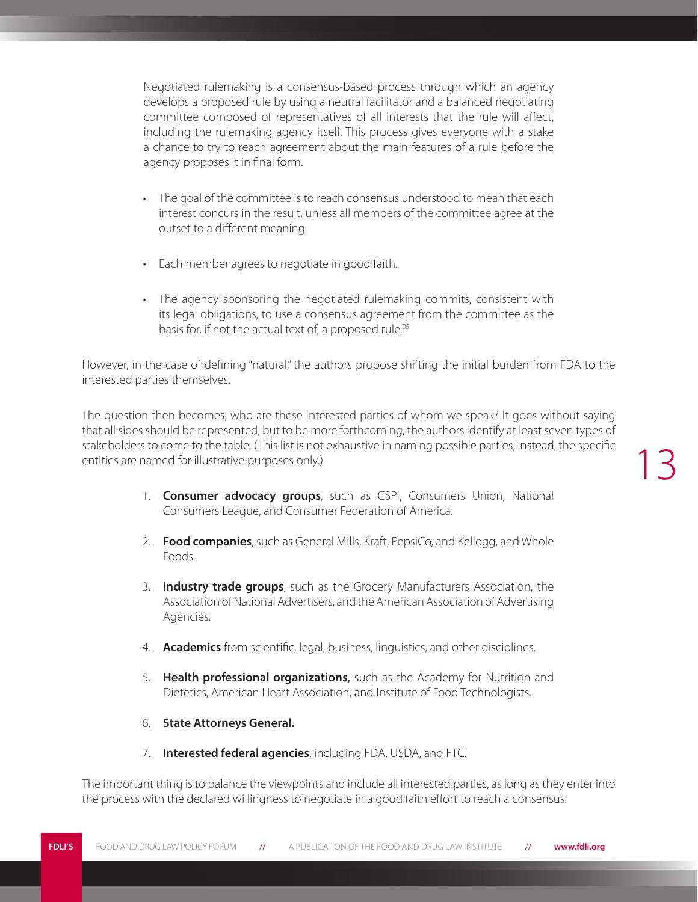Negotiated rulemaking is a consensus-based process through which an agency develops a proposed rule by using a neutral facilitator and a balanced negotiating committee composed of representatives of all interests that the rule will affect, including the rulemaking agency itself. This process gives everyone with a stake a chance to try to reach agreement about the main features of a rule before the agency proposes it in final form.

- The goal of the committee is to reach consensus understood to mean that each interest concurs in the result, unless all members of the committee agree at the outset to a different meaning.
- • Each member agrees to negotiate in good faith.
- The agency sponsoring the negotiated rulemaking commits, consistent with its legal obligations, to use a consensus agreement from the committee as the basis for, if not the actual text of, a proposed rule.<sup>95</sup>

However, in the case of defining "natural," the authors propose shifting the initial burden from FDA to the interested parties themselves.

The question then becomes, who are these interested parties of whom we speak? It goes without saying that all sides should be represented, but to be more forthcoming, the authors identify at least seven types of stakeholders to come to the table. (This list is not exhaustive in naming possible parties; instead, the specific entities are named for illustrative purposes only.)

- 1. **Consumer advocacy groups**, such as CSPI, Consumers Union, National Consumers League, and Consumer Federation of America.
- 2. **Food companies**, such as General Mills, Kraft, PepsiCo, and Kellogg, and Whole Foods.
- 3. **Industry trade groups**, such as the Grocery Manufacturers Association, the Association of National Advertisers, and the American Association of Advertising Agencies.
- 4. **Academics** from scientific, legal, business, linguistics, and other disciplines.
- 5. **Health professional organizations,** such as the Academy for Nutrition and Dietetics, American Heart Association, and Institute of Food Technologists.
- 6. **State Attorneys General.**
- 7. **Interested federal agencies**, including FDA, USDA, and FTC.

The important thing is to balance the viewpoints and include all interested parties, as long as they enter into the process with the declared willingness to negotiate in a good faith effort to reach a consensus.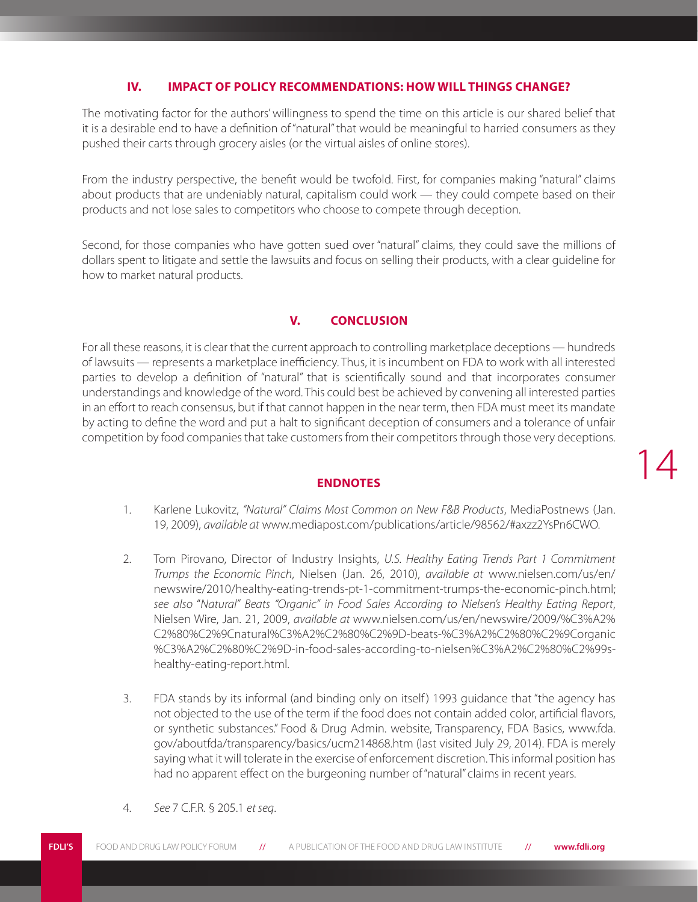#### **IV. IMPACT OF POLICY RECOMMENDATIONS: HOW WILL THINGS CHANGE?**

The motivating factor for the authors' willingness to spend the time on this article is our shared belief that it is a desirable end to have a definition of "natural" that would be meaningful to harried consumers as they pushed their carts through grocery aisles (or the virtual aisles of online stores).

From the industry perspective, the benefit would be twofold. First, for companies making "natural" claims about products that are undeniably natural, capitalism could work — they could compete based on their products and not lose sales to competitors who choose to compete through deception.

Second, for those companies who have gotten sued over "natural" claims, they could save the millions of dollars spent to litigate and settle the lawsuits and focus on selling their products, with a clear guideline for how to market natural products.

#### **V. CONCLUSION**

For all these reasons, it is clear that the current approach to controlling marketplace deceptions — hundreds of lawsuits — represents a marketplace inefficiency. Thus, it is incumbent on FDA to work with all interested parties to develop a definition of "natural" that is scientifically sound and that incorporates consumer understandings and knowledge of the word. This could best be achieved by convening all interested parties in an effort to reach consensus, but if that cannot happen in the near term, then FDA must meet its mandate by acting to define the word and put a halt to significant deception of consumers and a tolerance of unfair competition by food companies that take customers from their competitors through those very deceptions.

#### **ENDNOTES**

1. Karlene Lukovitz, *"Natural" Claims Most Common on New F&B Products*, MediaPostnews (Jan. 19, 2009), *available at* www.mediapost.com/publications/article/98562/#axzz2YsPn6CWO.

- 2. Tom Pirovano, Director of Industry Insights, *U.S. Healthy Eating Trends Part 1 Commitment Trumps the Economic Pinch*, Nielsen (Jan. 26, 2010), *available at* www.nielsen.com/us/en/ newswire/2010/healthy-eating-trends-pt-1-commitment-trumps-the-economic-pinch.html; *see also* "*Natural" Beats "Organic" in Food Sales According to Nielsen's Healthy Eating Report*, Nielsen Wire, Jan. 21, 2009, *available at* www.nielsen.com/us/en/newswire/2009/%C3%A2% C2%80%C2%9Cnatural%C3%A2%C2%80%C2%9D-beats-%C3%A2%C2%80%C2%9Corganic %C3%A2%C2%80%C2%9D-in-food-sales-according-to-nielsen%C3%A2%C2%80%C2%99shealthy-eating-report.html.
- 3. FDA stands by its informal (and binding only on itself ) 1993 guidance that "the agency has not objected to the use of the term if the food does not contain added color, artificial flavors, or synthetic substances." Food & Drug Admin. website, Transparency, FDA Basics, www.fda. gov/aboutfda/transparency/basics/ucm214868.htm (last visited July 29, 2014). FDA is merely saying what it will tolerate in the exercise of enforcement discretion. This informal position has had no apparent effect on the burgeoning number of "natural" claims in recent years.
- 4. *See* 7 C.F.R. § 205.1 *et seq*.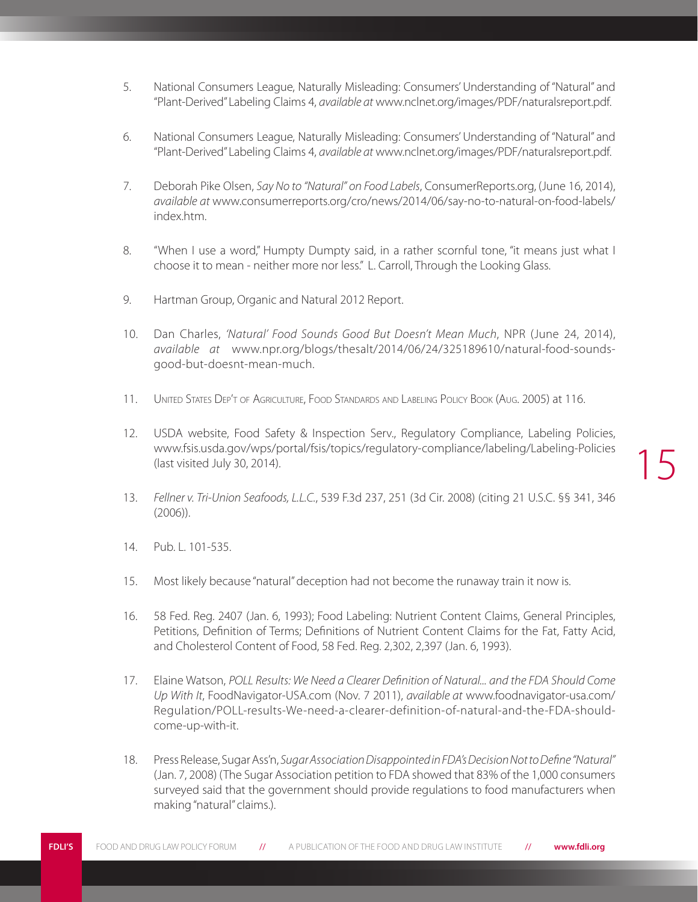- 5. National Consumers League, Naturally Misleading: Consumers' Understanding of "Natural" and "Plant-Derived" Labeling Claims 4, *available at* www.nclnet.org/images/PDF/naturalsreport.pdf.
- 6. National Consumers League, Naturally Misleading: Consumers' Understanding of "Natural" and "Plant-Derived" Labeling Claims 4, *available at* www.nclnet.org/images/PDF/naturalsreport.pdf.
- 7. Deborah Pike Olsen, *Say No to "Natural" on Food Labels*, ConsumerReports.org, (June 16, 2014), *available at* www.consumerreports.org/cro/news/2014/06/say-no-to-natural-on-food-labels/ index.htm.
- 8. "When I use a word," Humpty Dumpty said, in a rather scornful tone, "it means just what I choose it to mean - neither more nor less." L. Carroll, Through the Looking Glass.
- 9. Hartman Group, Organic and Natural 2012 Report.
- 10. Dan Charles, *'Natural' Food Sounds Good But Doesn't Mean Much*, NPR (June 24, 2014), *available at* www.npr.org/blogs/thesalt/2014/06/24/325189610/natural-food-soundsgood-but-doesnt-mean-much.
- 11. United States Dep't of Agriculture, Food Standards and Labeling Policy Book (Aug. 2005) at 116.
- 12. USDA website, Food Safety & Inspection Serv., Regulatory Compliance, Labeling Policies, www.fsis.usda.gov/wps/portal/fsis/topics/regulatory-compliance/labeling/Labeling-Policies (last visited July 30, 2014).
- 13. *Fellner v. Tri-Union Seafoods, L.L.C.*, 539 F.3d 237, 251 (3d Cir. 2008) (citing 21 U.S.C. §§ 341, 346 (2006)).
- 14. Pub. L. 101-535.
- 15. Most likely because "natural" deception had not become the runaway train it now is.
- 16. 58 Fed. Reg. 2407 (Jan. 6, 1993); Food Labeling: Nutrient Content Claims, General Principles, Petitions, Definition of Terms; Definitions of Nutrient Content Claims for the Fat, Fatty Acid, and Cholesterol Content of Food, 58 Fed. Reg. 2,302, 2,397 (Jan. 6, 1993).
- 17. Elaine Watson, *POLL Results: We Need a Clearer Definition of Natural... and the FDA Should Come Up With It*, FoodNavigator-USA.com (Nov. 7 2011), *available at* www.foodnavigator-usa.com/ Regulation/POLL-results-We-need-a-clearer-definition-of-natural-and-the-FDA-shouldcome-up-with-it.
- 18. Press Release, Sugar Ass'n, *Sugar Association Disappointed in FDA's Decision Not to Define "Natural"* (Jan. 7, 2008) (The Sugar Association petition to FDA showed that 83% of the 1,000 consumers surveyed said that the government should provide regulations to food manufacturers when making "natural" claims.).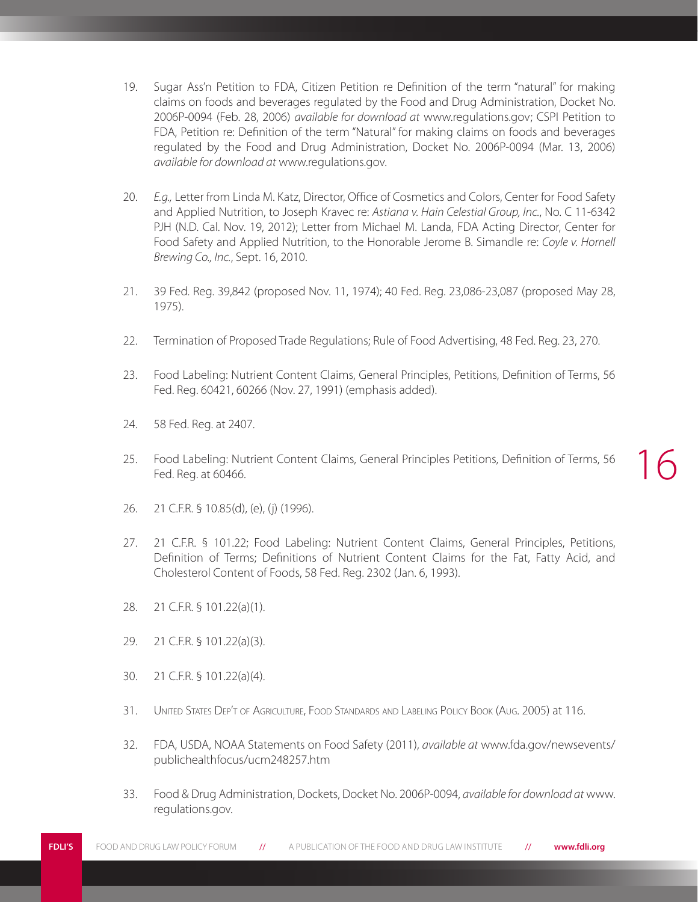- 19. Sugar Ass'n Petition to FDA, Citizen Petition re Definition of the term "natural" for making claims on foods and beverages regulated by the Food and Drug Administration, Docket No. 2006P-0094 (Feb. 28, 2006) *available for download at* www.regulations.gov; CSPI Petition to FDA, Petition re: Definition of the term "Natural" for making claims on foods and beverages regulated by the Food and Drug Administration, Docket No. 2006P-0094 (Mar. 13, 2006) *available for download at* www.regulations.gov.
- 20. *E.g.,* Letter from Linda M. Katz, Director, Office of Cosmetics and Colors, Center for Food Safety and Applied Nutrition, to Joseph Kravec re: *Astiana v. Hain Celestial Group, Inc.*, No. C 11-6342 PJH (N.D. Cal. Nov. 19, 2012); Letter from Michael M. Landa, FDA Acting Director, Center for Food Safety and Applied Nutrition, to the Honorable Jerome B. Simandle re: *Coyle v. Hornell Brewing Co., Inc.*, Sept. 16, 2010.
- 21. 39 Fed. Reg. 39,842 (proposed Nov. 11, 1974); 40 Fed. Reg. 23,086-23,087 (proposed May 28, 1975).
- 22. Termination of Proposed Trade Regulations; Rule of Food Advertising, 48 Fed. Reg. 23, 270.
- 23. Food Labeling: Nutrient Content Claims, General Principles, Petitions, Definition of Terms, 56 Fed. Reg. 60421, 60266 (Nov. 27, 1991) (emphasis added).
- 24. 58 Fed. Reg. at 2407.
- 25. Food Labeling: Nutrient Content Claims, General Principles Petitions, Definition of Terms, 56 Fed. Reg. at 60466.
- 26. 21 C.F.R. § 10.85(d), (e), (j) (1996).
- 27. 21 C.F.R. § 101.22; Food Labeling: Nutrient Content Claims, General Principles, Petitions, Definition of Terms; Definitions of Nutrient Content Claims for the Fat, Fatty Acid, and Cholesterol Content of Foods, 58 Fed. Reg. 2302 (Jan. 6, 1993).
- 28. 21 C.F.R. § 101.22(a)(1).
- 29. 21 C.F.R. § 101.22(a)(3).
- 30. 21 C.F.R. § 101.22(a)(4).
- 31. United States Dep't of Agriculture, Food Standards and Labeling Policy Book (Aug. 2005) at 116.
- 32. FDA, USDA, NOAA Statements on Food Safety (2011), *available at* www.fda.gov/newsevents/ publichealthfocus/ucm248257.htm
- 33. Food & Drug Administration, Dockets, Docket No. 2006P-0094, *available for download at* www. regulations.gov.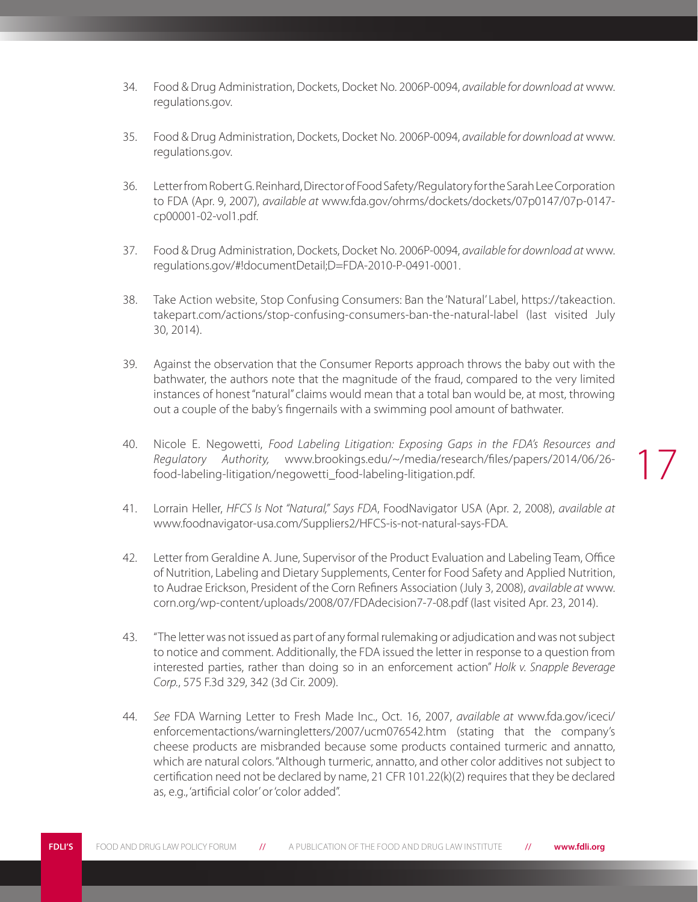- 34. Food & Drug Administration, Dockets, Docket No. 2006P-0094, *available for download at* www. regulations.gov.
- 35. Food & Drug Administration, Dockets, Docket No. 2006P-0094, *available for download at* www. regulations.gov.
- 36. Letter from Robert G. Reinhard, Director of Food Safety/Regulatory for the Sarah Lee Corporation to FDA (Apr. 9, 2007), *available at* www.fda.gov/ohrms/dockets/dockets/07p0147/07p-0147 cp00001-02-vol1.pdf.
- 37. Food & Drug Administration, Dockets, Docket No. 2006P-0094, *available for download at* www. regulations.gov/#!documentDetail;D=FDA-2010-P-0491-0001.
- 38. Take Action website, Stop Confusing Consumers: Ban the 'Natural' Label, https://takeaction. takepart.com/actions/stop-confusing-consumers-ban-the-natural-label (last visited July 30, 2014).
- 39. Against the observation that the Consumer Reports approach throws the baby out with the bathwater, the authors note that the magnitude of the fraud, compared to the very limited instances of honest "natural" claims would mean that a total ban would be, at most, throwing out a couple of the baby's fingernails with a swimming pool amount of bathwater.
- 40. Nicole E. Negowetti, *Food Labeling Litigation: Exposing Gaps in the FDA's Resources and Regulatory Authority,* www.brookings.edu/~/media/research/files/papers/2014/06/26 food-labeling-litigation/negowetti\_food-labeling-litigation.pdf.

- 41. Lorrain Heller, *HFCS Is Not "Natural," Says FDA*, FoodNavigator USA (Apr. 2, 2008), *available at* www.foodnavigator-usa.com/Suppliers2/HFCS-is-not-natural-says-FDA.
- 42. Letter from Geraldine A. June, Supervisor of the Product Evaluation and Labeling Team, Office of Nutrition, Labeling and Dietary Supplements, Center for Food Safety and Applied Nutrition, to Audrae Erickson, President of the Corn Refiners Association (July 3, 2008), *available at* www. corn.org/wp-content/uploads/2008/07/FDAdecision7-7-08.pdf (last visited Apr. 23, 2014).
- 43. "The letter was not issued as part of any formal rulemaking or adjudication and was not subject to notice and comment. Additionally, the FDA issued the letter in response to a question from interested parties, rather than doing so in an enforcement action" *Holk v. Snapple Beverage Corp.*, 575 F.3d 329, 342 (3d Cir. 2009).
- 44. *See* FDA Warning Letter to Fresh Made Inc., Oct. 16, 2007, *available at* www.fda.gov/iceci/ enforcementactions/warningletters/2007/ucm076542.htm (stating that the company's cheese products are misbranded because some products contained turmeric and annatto, which are natural colors. "Although turmeric, annatto, and other color additives not subject to certification need not be declared by name, 21 CFR 101.22(k)(2) requires that they be declared as, e.g., 'artificial color' or 'color added".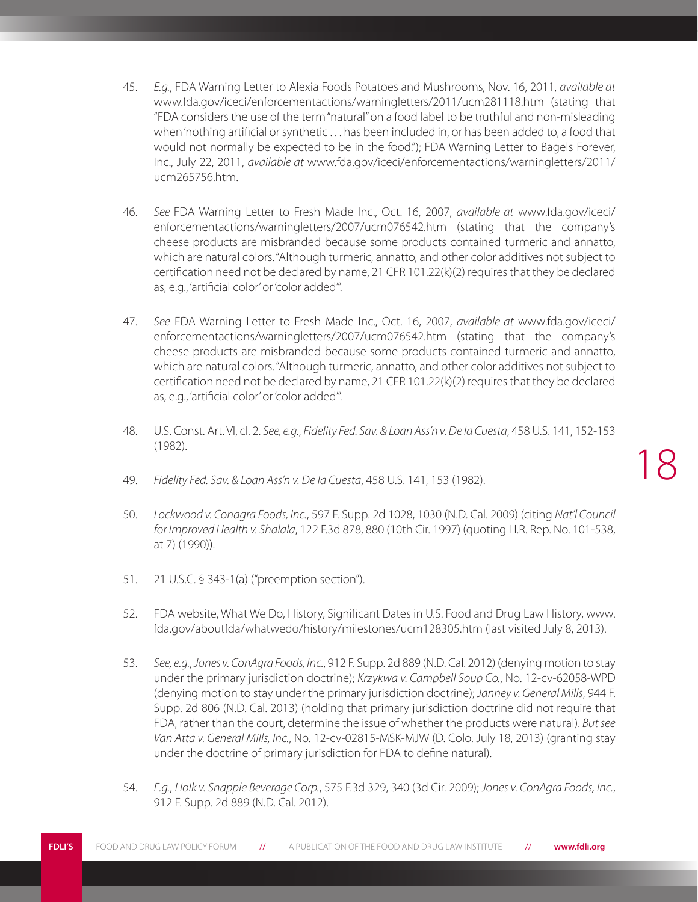- 45. *E.g.*, FDA Warning Letter to Alexia Foods Potatoes and Mushrooms, Nov. 16, 2011, *available at* www.fda.gov/iceci/enforcementactions/warningletters/2011/ucm281118.htm (stating that "FDA considers the use of the term "natural" on a food label to be truthful and non-misleading when 'nothing artificial or synthetic . . . has been included in, or has been added to, a food that would not normally be expected to be in the food."); FDA Warning Letter to Bagels Forever, Inc., July 22, 2011, *available at* www.fda.gov/iceci/enforcementactions/warningletters/2011/ ucm265756.htm.
- 46. *See* FDA Warning Letter to Fresh Made Inc., Oct. 16, 2007, *available at* www.fda.gov/iceci/ enforcementactions/warningletters/2007/ucm076542.htm (stating that the company's cheese products are misbranded because some products contained turmeric and annatto, which are natural colors. "Although turmeric, annatto, and other color additives not subject to certification need not be declared by name, 21 CFR 101.22(k)(2) requires that they be declared as, e.g., 'artificial color' or 'color added'".
- 47. *See* FDA Warning Letter to Fresh Made Inc., Oct. 16, 2007, *available at* www.fda.gov/iceci/ enforcementactions/warningletters/2007/ucm076542.htm (stating that the company's cheese products are misbranded because some products contained turmeric and annatto, which are natural colors. "Although turmeric, annatto, and other color additives not subject to certification need not be declared by name, 21 CFR 101.22(k)(2) requires that they be declared as, e.g., 'artificial color' or 'color added'".
- 48. U.S. Const. Art. VI, cl. 2. *See, e.g.*, *Fidelity Fed. Sav. & Loan Ass'n v. De la Cuesta*, 458 U.S. 141, 152-153 (1982).
- 49. *Fidelity Fed. Sav. & Loan Ass'n v. De la Cuesta*, 458 U.S. 141, 153 (1982).
- 50. *Lockwood v. Conagra Foods, Inc.*, 597 F. Supp. 2d 1028, 1030 (N.D. Cal. 2009) (citing *Nat'l Council for Improved Health v. Shalala*, 122 F.3d 878, 880 (10th Cir. 1997) (quoting H.R. Rep. No. 101-538, at 7) (1990)).
- 51. 21 U.S.C. § 343-1(a) ("preemption section").
- 52. FDA website, What We Do, History, Significant Dates in U.S. Food and Drug Law History, www. fda.gov/aboutfda/whatwedo/history/milestones/ucm128305.htm (last visited July 8, 2013).
- 53. *See, e.g.*, *Jones v. ConAgra Foods, Inc.*, 912 F. Supp. 2d 889 (N.D. Cal. 2012) (denying motion to stay under the primary jurisdiction doctrine); *Krzykwa v. Campbell Soup Co.*, No. 12-cv-62058-WPD (denying motion to stay under the primary jurisdiction doctrine); *Janney v. General Mills*, 944 F. Supp. 2d 806 (N.D. Cal. 2013) (holding that primary jurisdiction doctrine did not require that FDA, rather than the court, determine the issue of whether the products were natural). *But see Van Atta v. General Mills, Inc.*, No. 12-cv-02815-MSK-MJW (D. Colo. July 18, 2013) (granting stay under the doctrine of primary jurisdiction for FDA to define natural).
- 54. *E.g.*, *Holk v. Snapple Beverage Corp.*, 575 F.3d 329, 340 (3d Cir. 2009); *Jones v. ConAgra Foods, Inc.*, 912 F. Supp. 2d 889 (N.D. Cal. 2012).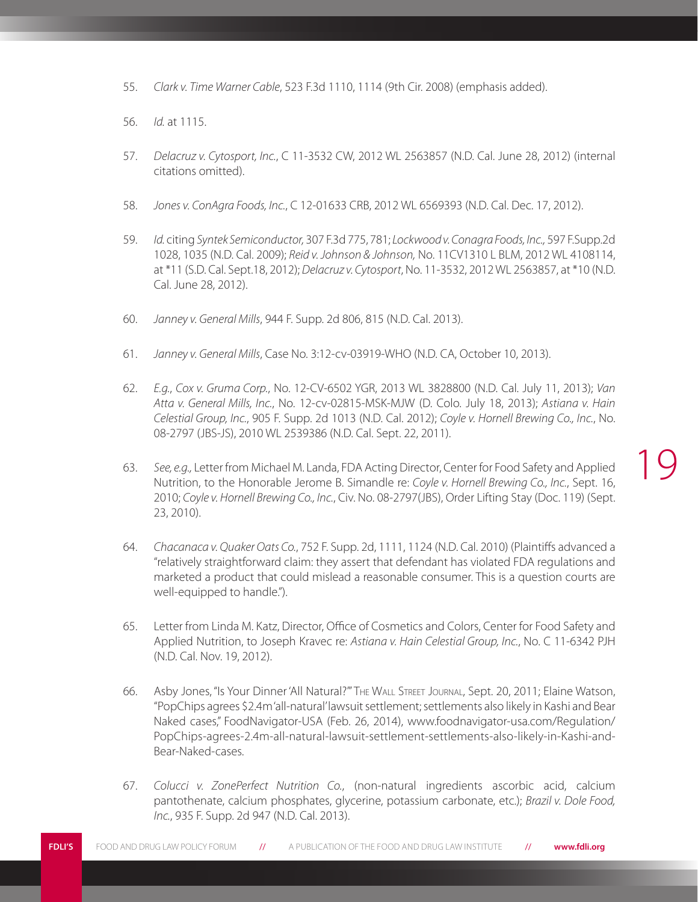- 55. *Clark v. Time Warner Cable*, 523 F.3d 1110, 1114 (9th Cir. 2008) (emphasis added).
- 56. *Id.* at 1115.
- 57. *Delacruz v. Cytosport, Inc.*, C 11-3532 CW, 2012 WL 2563857 (N.D. Cal. June 28, 2012) (internal citations omitted).
- 58. *Jones v. ConAgra Foods, Inc.*, C 12-01633 CRB, 2012 WL 6569393 (N.D. Cal. Dec. 17, 2012).
- 59. *Id.* citing *Syntek Semiconductor,* 307 F.3d 775, 781; *Lockwood v. Conagra Foods, Inc.,* 597 F.Supp.2d 1028, 1035 (N.D. Cal. 2009); *Reid v. Johnson & Johnson,* No. 11CV1310 L BLM, 2012 WL 4108114, at \*11 (S.D. Cal. Sept.18, 2012); *Delacruz v. Cytosport*, No. 11-3532, 2012 WL 2563857, at \*10 (N.D. Cal. June 28, 2012).
- 60. *Janney v. General Mills*, 944 F. Supp. 2d 806, 815 (N.D. Cal. 2013).
- 61. *Janney v. General Mills*, Case No. 3:12-cv-03919-WHO (N.D. CA, October 10, 2013).
- 62. *E.g.*, *Cox v. Gruma Corp.*, No. 12-CV-6502 YGR, 2013 WL 3828800 (N.D. Cal. July 11, 2013); *Van Atta v. General Mills, Inc.*, No. 12-cv-02815-MSK-MJW (D. Colo. July 18, 2013); *Astiana v. Hain Celestial Group, Inc.*, 905 F. Supp. 2d 1013 (N.D. Cal. 2012); *Coyle v. Hornell Brewing Co., Inc.*, No. 08-2797 (JBS-JS), 2010 WL 2539386 (N.D. Cal. Sept. 22, 2011).
- 63. *See, e.g.,* Letter from Michael M. Landa, FDA Acting Director, Center for Food Safety and Applied Nutrition, to the Honorable Jerome B. Simandle re: *Coyle v. Hornell Brewing Co., Inc.*, Sept. 16, 2010; *Coyle v. Hornell Brewing Co., Inc.*, Civ. No. 08-2797(JBS), Order Lifting Stay (Doc. 119) (Sept. 23, 2010).
- 64. *Chacanaca v. Quaker Oats Co.*, 752 F. Supp. 2d, 1111, 1124 (N.D. Cal. 2010) (Plaintiffs advanced a "relatively straightforward claim: they assert that defendant has violated FDA regulations and marketed a product that could mislead a reasonable consumer. This is a question courts are well-equipped to handle.").
- 65. Letter from Linda M. Katz, Director, Office of Cosmetics and Colors, Center for Food Safety and Applied Nutrition, to Joseph Kravec re: *Astiana v. Hain Celestial Group, Inc.*, No. C 11-6342 PJH (N.D. Cal. Nov. 19, 2012).
- 66. Asby Jones, "Is Your Dinner 'All Natural?'" The Wall Street Journal, Sept. 20, 2011; Elaine Watson, "PopChips agrees \$2.4m 'all-natural' lawsuit settlement; settlements also likely in Kashi and Bear Naked cases," FoodNavigator-USA (Feb. 26, 2014), www.foodnavigator-usa.com/Regulation/ PopChips-agrees-2.4m-all-natural-lawsuit-settlement-settlements-also-likely-in-Kashi-and-Bear-Naked-cases.
- 67. *Colucci v. ZonePerfect Nutrition Co.*, (non-natural ingredients ascorbic acid, calcium pantothenate, calcium phosphates, glycerine, potassium carbonate, etc.); *Brazil v. Dole Food, Inc.*, 935 F. Supp. 2d 947 (N.D. Cal. 2013).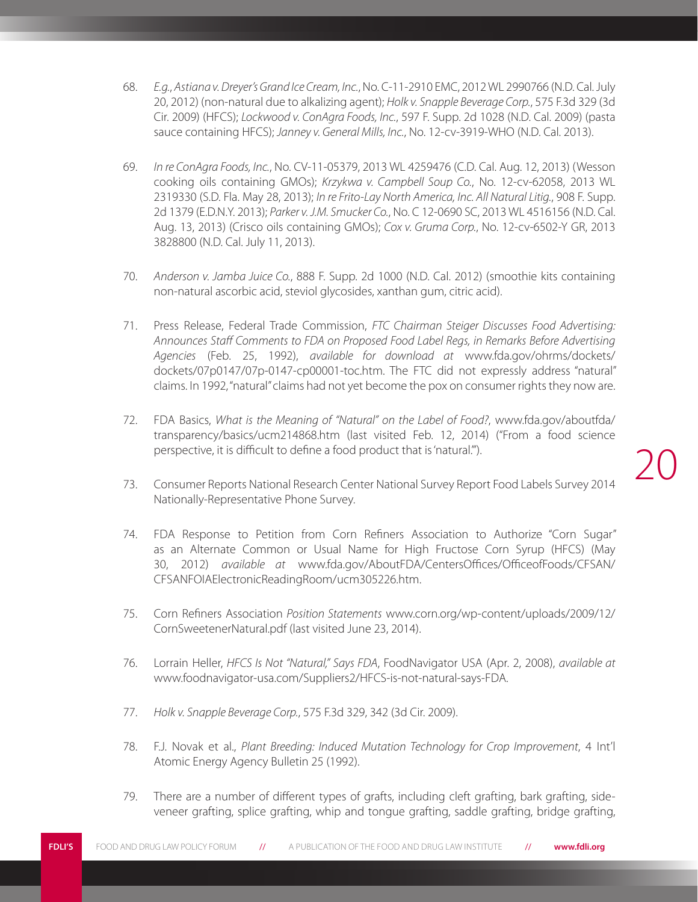- 68. *E.g.*, *Astiana v. Dreyer's Grand Ice Cream, Inc.*, No. C-11-2910 EMC, 2012 WL 2990766 (N.D. Cal. July 20, 2012) (non-natural due to alkalizing agent); *Holk v. Snapple Beverage Corp.*, 575 F.3d 329 (3d Cir. 2009) (HFCS); *Lockwood v. ConAgra Foods, Inc.*, 597 F. Supp. 2d 1028 (N.D. Cal. 2009) (pasta sauce containing HFCS); *Janney v. General Mills, Inc.*, No. 12-cv-3919-WHO (N.D. Cal. 2013).
- 69. *In re ConAgra Foods, Inc.*, No. CV-11-05379, 2013 WL 4259476 (C.D. Cal. Aug. 12, 2013) (Wesson cooking oils containing GMOs); *Krzykwa v. Campbell Soup Co.*, No. 12-cv-62058, 2013 WL 2319330 (S.D. Fla. May 28, 2013); *In re Frito-Lay North America, Inc. All Natural Litig.*, 908 F. Supp. 2d 1379 (E.D.N.Y. 2013); *Parker v. J.M. Smucker Co.*, No. C 12-0690 SC, 2013 WL 4516156 (N.D. Cal. Aug. 13, 2013) (Crisco oils containing GMOs); *Cox v. Gruma Corp.*, No. 12-cv-6502-Y GR, 2013 3828800 (N.D. Cal. July 11, 2013).
- 70. *Anderson v. Jamba Juice Co.*, 888 F. Supp. 2d 1000 (N.D. Cal. 2012) (smoothie kits containing non-natural ascorbic acid, steviol glycosides, xanthan gum, citric acid).
- 71. Press Release, Federal Trade Commission, *FTC Chairman Steiger Discusses Food Advertising: Announces Staff Comments to FDA on Proposed Food Label Regs, in Remarks Before Advertising Agencies* (Feb. 25, 1992), *available for download at* www.fda.gov/ohrms/dockets/ dockets/07p0147/07p-0147-cp00001-toc.htm. The FTC did not expressly address "natural" claims. In 1992, "natural" claims had not yet become the pox on consumer rights they now are.
- 72. FDA Basics, *What is the Meaning of "Natural" on the Label of Food?*, www.fda.gov/aboutfda/ transparency/basics/ucm214868.htm (last visited Feb. 12, 2014) ("From a food science perspective, it is difficult to define a food product that is 'natural.'").
- 73. Consumer Reports National Research Center National Survey Report Food Labels Survey 2014 Nationally-Representative Phone Survey.

- 74. FDA Response to Petition from Corn Refiners Association to Authorize "Corn Sugar" as an Alternate Common or Usual Name for High Fructose Corn Syrup (HFCS) (May 30, 2012) *available at* www.fda.gov/AboutFDA/CentersOffices/OfficeofFoods/CFSAN/ CFSANFOIAElectronicReadingRoom/ucm305226.htm.
- 75. Corn Refiners Association *Position Statements* www.corn.org/wp-content/uploads/2009/12/ CornSweetenerNatural.pdf (last visited June 23, 2014).
- 76. Lorrain Heller, *HFCS Is Not "Natural," Says FDA*, FoodNavigator USA (Apr. 2, 2008), *available at* www.foodnavigator-usa.com/Suppliers2/HFCS-is-not-natural-says-FDA.
- 77. *Holk v. Snapple Beverage Corp.*, 575 F.3d 329, 342 (3d Cir. 2009).
- 78. F.J. Novak et al., *Plant Breeding: Induced Mutation Technology for Crop Improvement*, 4 Int'l Atomic Energy Agency Bulletin 25 (1992).
- 79. There are a number of different types of grafts, including cleft grafting, bark grafting, sideveneer grafting, splice grafting, whip and tongue grafting, saddle grafting, bridge grafting,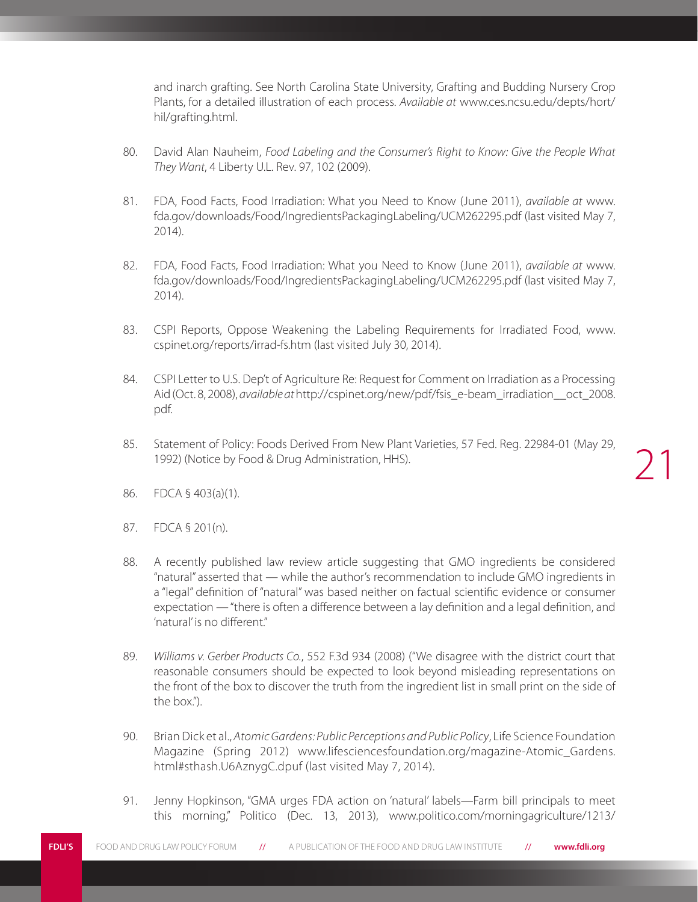and inarch grafting. See North Carolina State University, Grafting and Budding Nursery Crop Plants, for a detailed illustration of each process. *Available at* www.ces.ncsu.edu/depts/hort/ hil/grafting.html.

- 80. David Alan Nauheim, *Food Labeling and the Consumer's Right to Know: Give the People What They Want*, 4 Liberty U.L. Rev. 97, 102 (2009).
- 81. FDA, Food Facts, Food Irradiation: What you Need to Know (June 2011), *available at* www. fda.gov/downloads/Food/IngredientsPackagingLabeling/UCM262295.pdf (last visited May 7, 2014).
- 82. FDA, Food Facts, Food Irradiation: What you Need to Know (June 2011), *available at* www. fda.gov/downloads/Food/IngredientsPackagingLabeling/UCM262295.pdf (last visited May 7, 2014).
- 83. CSPI Reports, Oppose Weakening the Labeling Requirements for Irradiated Food, www. cspinet.org/reports/irrad-fs.htm (last visited July 30, 2014).
- 84. CSPI Letter to U.S. Dep't of Agriculture Re: Request for Comment on Irradiation as a Processing Aid (Oct. 8, 2008), *available at* http://cspinet.org/new/pdf/fsis\_e-beam\_irradiation\_\_oct\_2008. pdf.
- 85. Statement of Policy: Foods Derived From New Plant Varieties, 57 Fed. Reg. 22984-01 (May 29, 1992) (Notice by Food & Drug Administration, HHS).

- 86. FDCA § 403(a)(1).
- 87. FDCA § 201(n).
- 88. A recently published law review article suggesting that GMO ingredients be considered "natural" asserted that — while the author's recommendation to include GMO ingredients in a "legal" definition of "natural" was based neither on factual scientific evidence or consumer expectation — "there is often a difference between a lay definition and a legal definition, and 'natural' is no different."
- 89. *Williams v. Gerber Products Co.*, 552 F.3d 934 (2008) ("We disagree with the district court that reasonable consumers should be expected to look beyond misleading representations on the front of the box to discover the truth from the ingredient list in small print on the side of the box.").
- 90. Brian Dick et al., *Atomic Gardens: Public Perceptions and Public Policy*, Life Science Foundation Magazine (Spring 2012) www.lifesciencesfoundation.org/magazine-Atomic\_Gardens. html#sthash.U6AznygC.dpuf (last visited May 7, 2014).
- 91. Jenny Hopkinson, "GMA urges FDA action on 'natural' labels—Farm bill principals to meet this morning," Politico (Dec. 13, 2013), www.politico.com/morningagriculture/1213/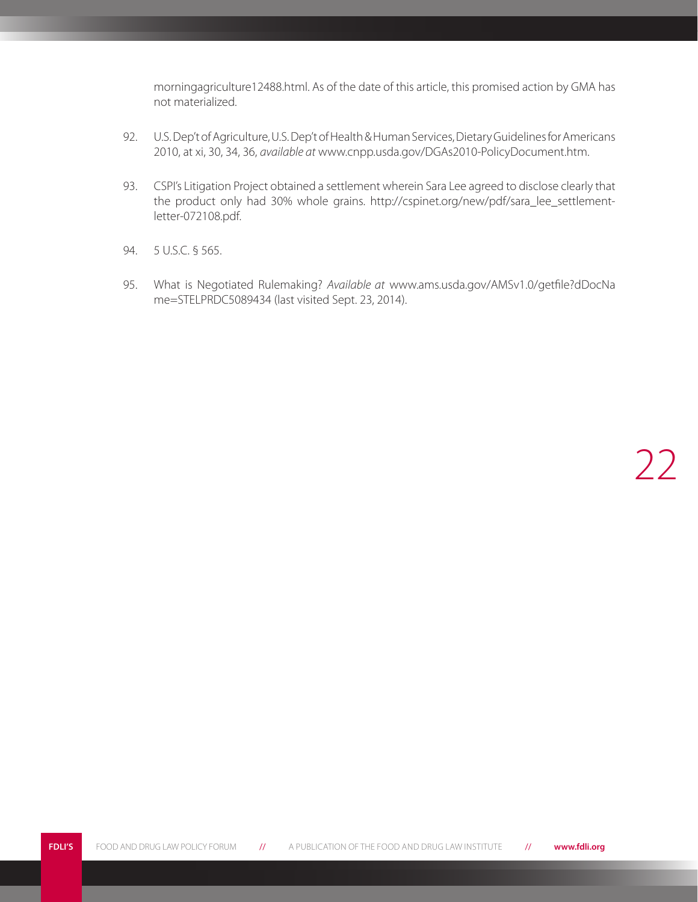morningagriculture12488.html. As of the date of this article, this promised action by GMA has not materialized.

- 92. U.S. Dep't of Agriculture, U.S. Dep't of Health & Human Services, Dietary Guidelines for Americans 2010, at xi, 30, 34, 36, *available at* www.cnpp.usda.gov/DGAs2010-PolicyDocument.htm.
- 93. CSPI's Litigation Project obtained a settlement wherein Sara Lee agreed to disclose clearly that the product only had 30% whole grains. http://cspinet.org/new/pdf/sara\_lee\_settlementletter-072108.pdf.
- 94. 5 U.S.C. § 565.
- 95. What is Negotiated Rulemaking? *Available at* www.ams.usda.gov/AMSv1.0/getfile?dDocNa me=STELPRDC5089434 (last visited Sept. 23, 2014).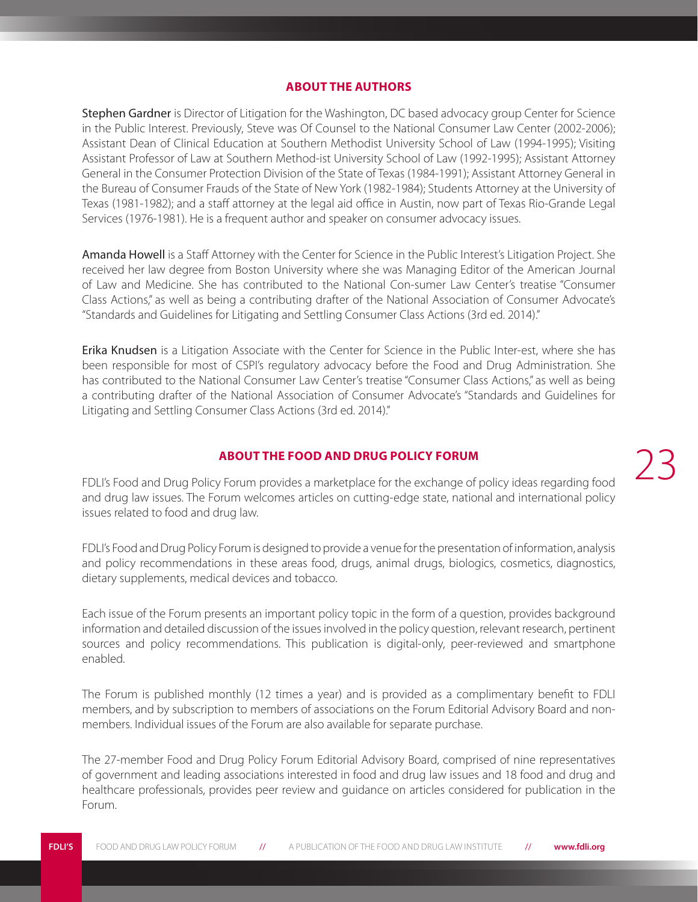#### **ABOUT THE AUTHORS**

Stephen Gardner is Director of Litigation for the Washington, DC based advocacy group Center for Science in the Public Interest. Previously, Steve was Of Counsel to the National Consumer Law Center (2002-2006); Assistant Dean of Clinical Education at Southern Methodist University School of Law (1994-1995); Visiting Assistant Professor of Law at Southern Method-ist University School of Law (1992-1995); Assistant Attorney General in the Consumer Protection Division of the State of Texas (1984-1991); Assistant Attorney General in the Bureau of Consumer Frauds of the State of New York (1982-1984); Students Attorney at the University of Texas (1981-1982); and a staff attorney at the legal aid office in Austin, now part of Texas Rio-Grande Legal Services (1976-1981). He is a frequent author and speaker on consumer advocacy issues.

Amanda Howell is a Staff Attorney with the Center for Science in the Public Interest's Litigation Project. She received her law degree from Boston University where she was Managing Editor of the American Journal of Law and Medicine. She has contributed to the National Con-sumer Law Center's treatise "Consumer Class Actions," as well as being a contributing drafter of the National Association of Consumer Advocate's "Standards and Guidelines for Litigating and Settling Consumer Class Actions (3rd ed. 2014)."

Erika Knudsen is a Litigation Associate with the Center for Science in the Public Inter-est, where she has been responsible for most of CSPI's regulatory advocacy before the Food and Drug Administration. She has contributed to the National Consumer Law Center's treatise "Consumer Class Actions," as well as being a contributing drafter of the National Association of Consumer Advocate's "Standards and Guidelines for Litigating and Settling Consumer Class Actions (3rd ed. 2014)."

#### **ABOUT THE FOOD AND DRUG POLICY FORUM**

FDLI's Food and Drug Policy Forum provides a marketplace for the exchange of policy ideas regarding food and drug law issues. The Forum welcomes articles on cutting-edge state, national and international policy issues related to food and drug law.

FDLI's Food and Drug Policy Forum is designed to provide a venue for the presentation of information, analysis and policy recommendations in these areas food, drugs, animal drugs, biologics, cosmetics, diagnostics, dietary supplements, medical devices and tobacco.

Each issue of the Forum presents an important policy topic in the form of a question, provides background information and detailed discussion of the issues involved in the policy question, relevant research, pertinent sources and policy recommendations. This publication is digital-only, peer-reviewed and smartphone enabled.

The Forum is published monthly (12 times a year) and is provided as a complimentary benefit to FDLI members, and by subscription to members of associations on the Forum Editorial Advisory Board and nonmembers. Individual issues of the Forum are also available for separate purchase.

The 27-member Food and Drug Policy Forum Editorial Advisory Board, comprised of nine representatives of government and leading associations interested in food and drug law issues and 18 food and drug and healthcare professionals, provides peer review and guidance on articles considered for publication in the Forum.